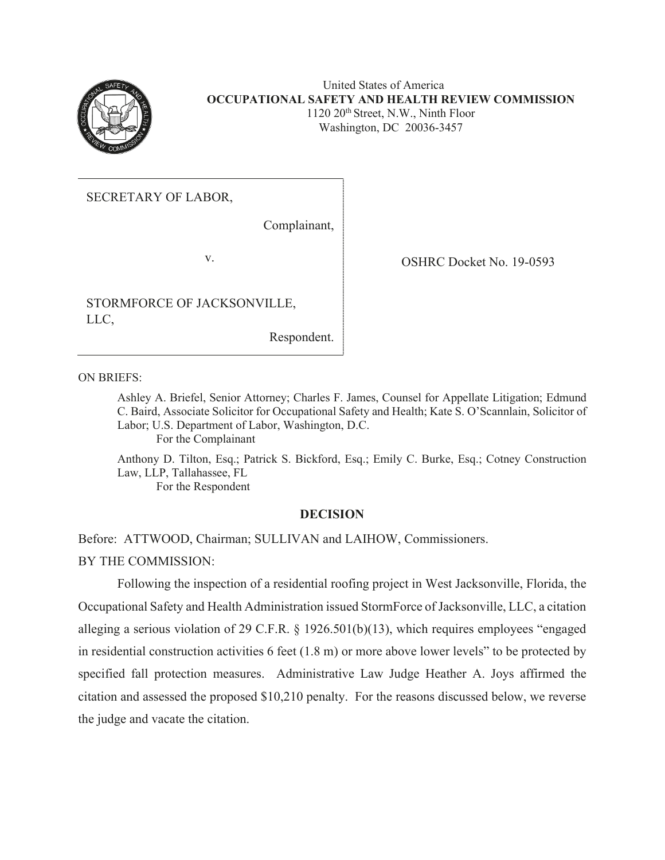

#### United States of America **OCCUPATIONAL SAFETY AND HEALTH REVIEW COMMISSION**  1120 20th Street, N.W., Ninth Floor Washington, DC 20036-3457

SECRETARY OF LABOR,

Complainant,

STORMFORCE OF JACKSONVILLE, LLC,

Respondent.

v. OSHRC Docket No. 19-0593

ON BRIEFS:

Ashley A. Briefel, Senior Attorney; Charles F. James, Counsel for Appellate Litigation; Edmund C. Baird, Associate Solicitor for Occupational Safety and Health; Kate S. O'Scannlain, Solicitor of Labor; U.S. Department of Labor, Washington, D.C. For the Complainant

Anthony D. Tilton, Esq.; Patrick S. Bickford, Esq.; Emily C. Burke, Esq.; Cotney Construction Law, LLP, Tallahassee, FL

For the Respondent

## **DECISION**

Before: ATTWOOD, Chairman; SULLIVAN and LAIHOW, Commissioners.

BY THE COMMISSION:

Following the inspection of a residential roofing project in West Jacksonville, Florida, the Occupational Safety and Health Administration issued StormForce of Jacksonville, LLC, a citation alleging a serious violation of 29 C.F.R. § 1926.501(b)(13), which requires employees "engaged in residential construction activities 6 feet (1.8 m) or more above lower levels" to be protected by specified fall protection measures. Administrative Law Judge Heather A. Joys affirmed the citation and assessed the proposed \$10,210 penalty. For the reasons discussed below, we reverse the judge and vacate the citation.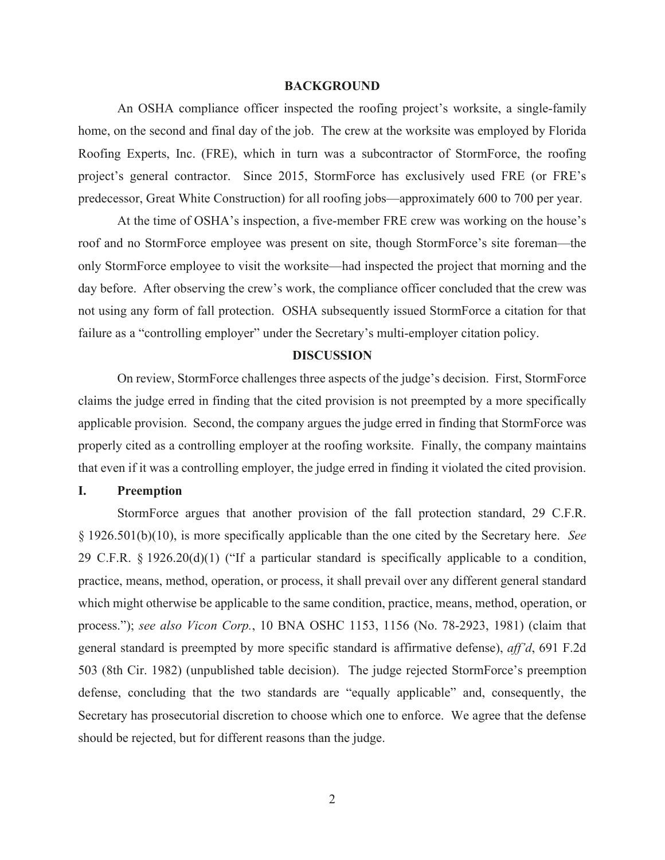#### **BACKGROUND**

An OSHA compliance officer inspected the roofing project's worksite, a single-family home, on the second and final day of the job. The crew at the worksite was employed by Florida Roofing Experts, Inc. (FRE), which in turn was a subcontractor of StormForce, the roofing project's general contractor. Since 2015, StormForce has exclusively used FRE (or FRE's predecessor, Great White Construction) for all roofing jobs—approximately 600 to 700 per year.

At the time of OSHA's inspection, a five-member FRE crew was working on the house's roof and no StormForce employee was present on site, though StormForce's site foreman—the only StormForce employee to visit the worksite—had inspected the project that morning and the day before. After observing the crew's work, the compliance officer concluded that the crew was not using any form of fall protection. OSHA subsequently issued StormForce a citation for that failure as a "controlling employer" under the Secretary's multi-employer citation policy.

#### **DISCUSSION**

On review, StormForce challenges three aspects of the judge's decision. First, StormForce claims the judge erred in finding that the cited provision is not preempted by a more specifically applicable provision. Second, the company argues the judge erred in finding that StormForce was properly cited as a controlling employer at the roofing worksite. Finally, the company maintains that even if it was a controlling employer, the judge erred in finding it violated the cited provision.

## **I. Preemption**

StormForce argues that another provision of the fall protection standard, 29 C.F.R. § 1926.501(b)(10), is more specifically applicable than the one cited by the Secretary here. *See*  29 C.F.R. § 1926.20(d)(1) ("If a particular standard is specifically applicable to a condition, practice, means, method, operation, or process, it shall prevail over any different general standard which might otherwise be applicable to the same condition, practice, means, method, operation, or process."); *see also Vicon Corp.*, 10 BNA OSHC 1153, 1156 (No. 78-2923, 1981) (claim that general standard is preempted by more specific standard is affirmative defense), *aff'd*, 691 F.2d 503 (8th Cir. 1982) (unpublished table decision). The judge rejected StormForce's preemption defense, concluding that the two standards are "equally applicable" and, consequently, the Secretary has prosecutorial discretion to choose which one to enforce. We agree that the defense should be rejected, but for different reasons than the judge.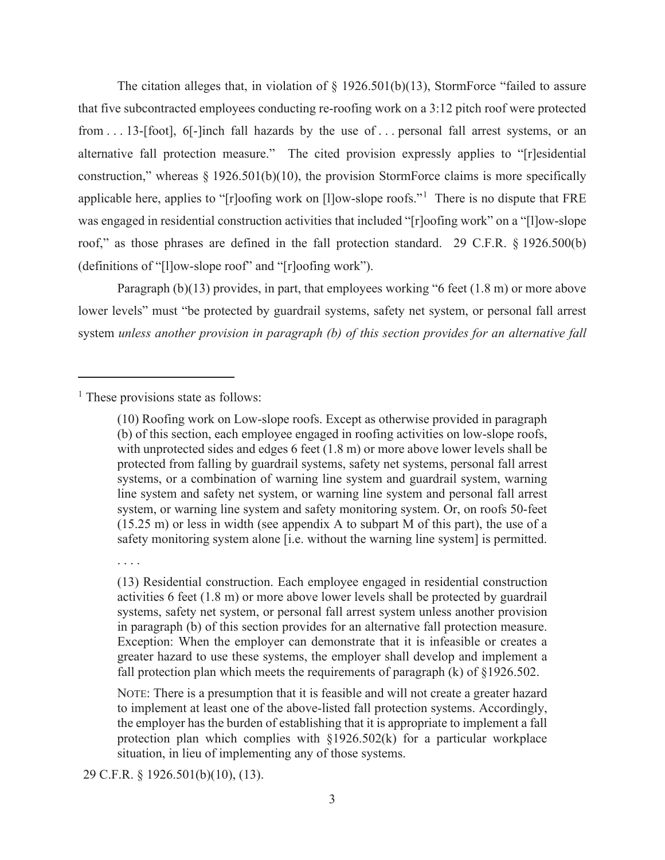The citation alleges that, in violation of  $\S$  1926.501(b)(13), StormForce "failed to assure that five subcontracted employees conducting re-roofing work on a 3:12 pitch roof were protected from . . . 13-[foot], 6[-]inch fall hazards by the use of . . . personal fall arrest systems, or an alternative fall protection measure." The cited provision expressly applies to "[r]esidential construction," whereas  $\S 1926.501(b)(10)$ , the provision StormForce claims is more specifically applicable here, applies to "[r]oofing work on [l]ow-slope roofs."<sup>1</sup> There is no dispute that FRE was engaged in residential construction activities that included "[r]oofing work" on a "[l]ow-slope roof," as those phrases are defined in the fall protection standard. 29 C.F.R. § 1926.500(b) (definitions of "[l]ow-slope roof" and "[r]oofing work").

Paragraph (b)(13) provides, in part, that employees working "6 feet (1.8 m) or more above lower levels" must "be protected by guardrail systems, safety net system, or personal fall arrest system *unless another provision in paragraph (b) of this section provides for an alternative fall* 

<sup>1</sup> These provisions state as follows:

NOTE: There is a presumption that it is feasible and will not create a greater hazard to implement at least one of the above-listed fall protection systems. Accordingly, the employer has the burden of establishing that it is appropriate to implement a fall protection plan which complies with  $\S1926.502(k)$  for a particular workplace situation, in lieu of implementing any of those systems.

29 C.F.R. § 1926.501(b)(10), (13).

<sup>(10)</sup> Roofing work on Low-slope roofs. Except as otherwise provided in paragraph (b) of this section, each employee engaged in roofing activities on low-slope roofs, with unprotected sides and edges 6 feet (1.8 m) or more above lower levels shall be protected from falling by guardrail systems, safety net systems, personal fall arrest systems, or a combination of warning line system and guardrail system, warning line system and safety net system, or warning line system and personal fall arrest system, or warning line system and safety monitoring system. Or, on roofs 50-feet (15.25 m) or less in width (see appendix A to subpart M of this part), the use of a safety monitoring system alone [i.e. without the warning line system] is permitted.

<sup>. . . .</sup> 

<sup>(13)</sup> Residential construction. Each employee engaged in residential construction activities 6 feet (1.8 m) or more above lower levels shall be protected by guardrail systems, safety net system, or personal fall arrest system unless another provision in paragraph (b) of this section provides for an alternative fall protection measure. Exception: When the employer can demonstrate that it is infeasible or creates a greater hazard to use these systems, the employer shall develop and implement a fall protection plan which meets the requirements of paragraph (k) of §1926.502.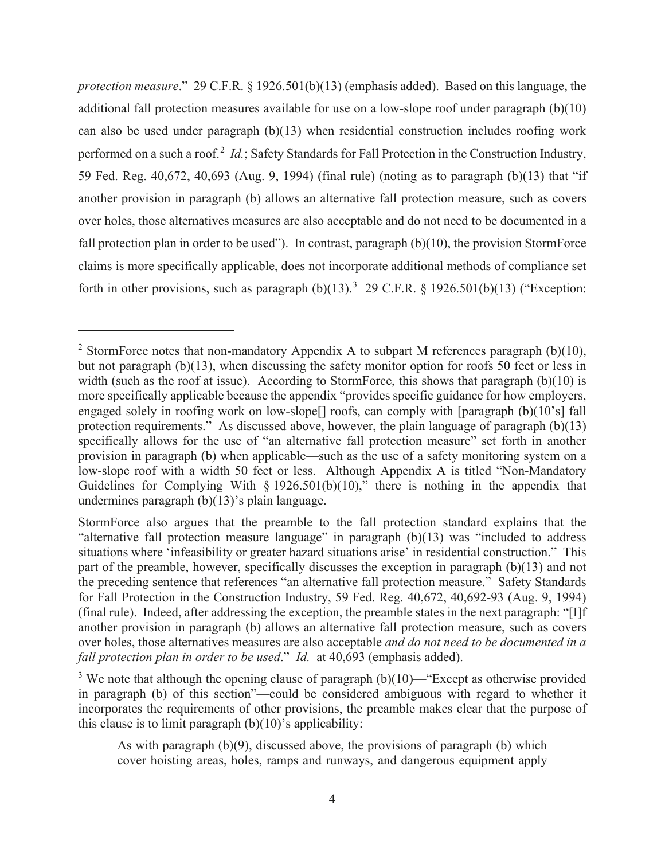*protection measure*." 29 C.F.R. § 1926.501(b)(13) (emphasis added). Based on this language, the additional fall protection measures available for use on a low-slope roof under paragraph (b)(10) can also be used under paragraph (b)(13) when residential construction includes roofing work performed on a such a roof.<sup>2</sup> *Id.*; Safety Standards for Fall Protection in the Construction Industry, 59 Fed. Reg. 40,672, 40,693 (Aug. 9, 1994) (final rule) (noting as to paragraph (b)(13) that "if another provision in paragraph (b) allows an alternative fall protection measure, such as covers over holes, those alternatives measures are also acceptable and do not need to be documented in a fall protection plan in order to be used"). In contrast, paragraph (b)(10), the provision StormForce claims is more specifically applicable, does not incorporate additional methods of compliance set forth in other provisions, such as paragraph  $(b)(13)$ .<sup>3</sup> 29 C.F.R. § 1926.501(b)(13) ("Exception:

<sup>&</sup>lt;sup>2</sup> StormForce notes that non-mandatory Appendix A to subpart M references paragraph (b)(10), but not paragraph (b)(13), when discussing the safety monitor option for roofs 50 feet or less in width (such as the roof at issue). According to StormForce, this shows that paragraph (b)(10) is more specifically applicable because the appendix "provides specific guidance for how employers, engaged solely in roofing work on low-slope<sup>[]</sup> roofs, can comply with [paragraph (b)(10's] fall protection requirements." As discussed above, however, the plain language of paragraph  $(b)(13)$ specifically allows for the use of "an alternative fall protection measure" set forth in another provision in paragraph (b) when applicable—such as the use of a safety monitoring system on a low-slope roof with a width 50 feet or less. Although Appendix A is titled "Non-Mandatory Guidelines for Complying With  $\S 1926.501(b)(10)$ ," there is nothing in the appendix that undermines paragraph (b)(13)'s plain language.

StormForce also argues that the preamble to the fall protection standard explains that the "alternative fall protection measure language" in paragraph  $(b)(13)$  was "included to address situations where 'infeasibility or greater hazard situations arise' in residential construction." This part of the preamble, however, specifically discusses the exception in paragraph (b)(13) and not the preceding sentence that references "an alternative fall protection measure." Safety Standards for Fall Protection in the Construction Industry, 59 Fed. Reg. 40,672, 40,692-93 (Aug. 9, 1994) (final rule). Indeed, after addressing the exception, the preamble states in the next paragraph: "[I]f another provision in paragraph (b) allows an alternative fall protection measure, such as covers over holes, those alternatives measures are also acceptable *and do not need to be documented in a fall protection plan in order to be used*." *Id.* at 40,693 (emphasis added).

<sup>&</sup>lt;sup>3</sup> We note that although the opening clause of paragraph  $(b)(10)$ —"Except as otherwise provided in paragraph (b) of this section"—could be considered ambiguous with regard to whether it incorporates the requirements of other provisions, the preamble makes clear that the purpose of this clause is to limit paragraph  $(b)(10)$ 's applicability:

As with paragraph (b)(9), discussed above, the provisions of paragraph (b) which cover hoisting areas, holes, ramps and runways, and dangerous equipment apply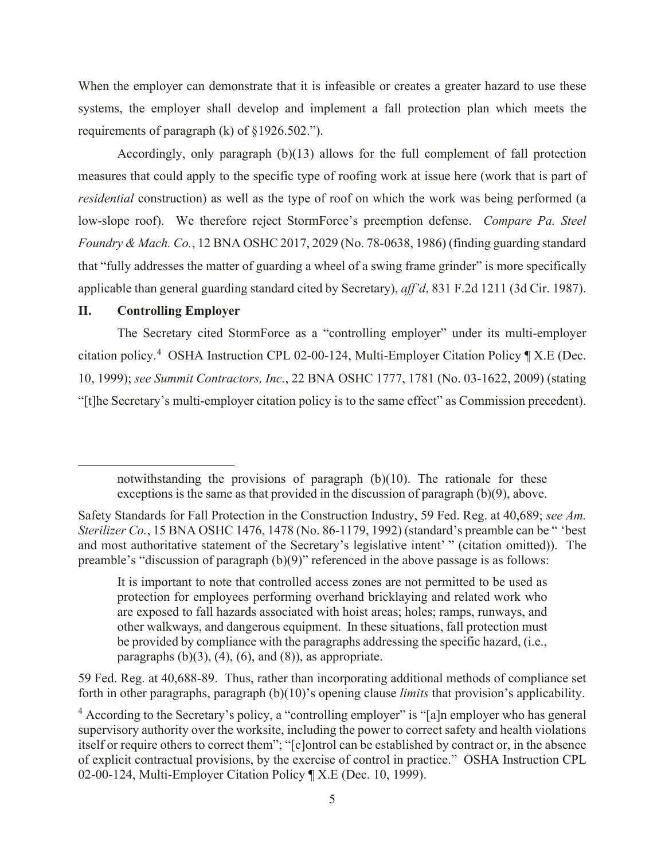When the employer can demonstrate that it is infeasible or creates a greater hazard to use these systems, the employer shall develop and implement a fall protection plan which meets the requirements of paragraph (k) of §1926.502.").

Accordingly, only paragraph (b)(13) allows for the full complement of fall protection measures that could apply to the specific type of roofing work at issue here (work that is part of *residential* construction) as well as the type of roof on which the work was being performed (a low-slope roof). We therefore reject StormForce's preemption defense. *Compare Pa. Steel Foundry & Mach. Co.*, 12 BNA OSHC 2017, 2029 (No. 78-0638, 1986) (finding guarding standard that "fully addresses the matter of guarding a wheel of a swing frame grinder" is more specifically applicable than general guarding standard cited by Secretary), *aff'd*, 831 F.2d 1211 (3d Cir. 1987).

# **II. Controlling Employer**

The Secretary cited StormForce as a "controlling employer" under its multi-employer citation policy.<sup>4</sup> OSHA Instruction CPL 02-00-124, Multi-Employer Citation Policy ¶ X.E (Dec. 10, 1999); *see Summit Contractors, Inc.*, 22 BNA OSHC 1777, 1781 (No. 03-1622, 2009) (stating "[t]he Secretary's multi-employer citation policy is to the same effect" as Commission precedent).

59 Fed. Reg. at 40,688-89. Thus, rather than incorporating additional methods of compliance set forth in other paragraphs, paragraph (b)(10)'s opening clause *limits* that provision's applicability.

notwithstanding the provisions of paragraph (b)(10). The rationale for these exceptions is the same as that provided in the discussion of paragraph (b)(9), above.

Safety Standards for Fall Protection in the Construction Industry, 59 Fed. Reg. at 40,689; *see Am. Sterilizer Co.*, 15 BNA OSHC 1476, 1478 (No. 86-1179, 1992) (standard's preamble can be " 'best and most authoritative statement of the Secretary's legislative intent' " (citation omitted)). The preamble's "discussion of paragraph (b)(9)" referenced in the above passage is as follows:

It is important to note that controlled access zones are not permitted to be used as protection for employees performing overhand bricklaying and related work who are exposed to fall hazards associated with hoist areas; holes; ramps, runways, and other walkways, and dangerous equipment. In these situations, fall protection must be provided by compliance with the paragraphs addressing the specific hazard, (i.e., paragraphs  $(b)(3)$ ,  $(4)$ ,  $(6)$ , and  $(8)$ ), as appropriate.

<sup>&</sup>lt;sup>4</sup> According to the Secretary's policy, a "controlling employer" is "[a]n employer who has general supervisory authority over the worksite, including the power to correct safety and health violations itself or require others to correct them"; "[c]ontrol can be established by contract or, in the absence of explicit contractual provisions, by the exercise of control in practice." OSHA Instruction CPL 02-00-124, Multi-Employer Citation Policy ¶ X.E (Dec. 10, 1999).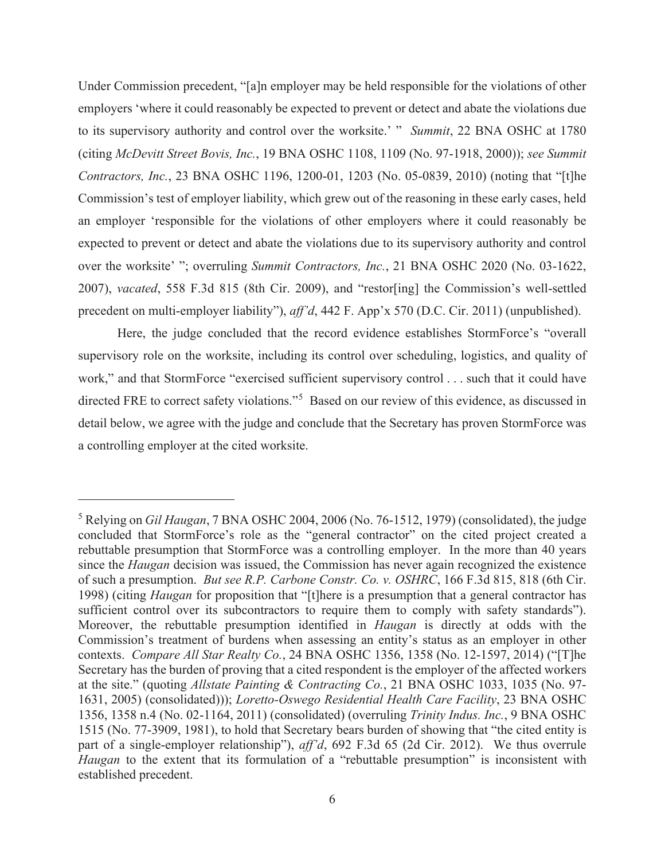Under Commission precedent, "[a]n employer may be held responsible for the violations of other employers 'where it could reasonably be expected to prevent or detect and abate the violations due to its supervisory authority and control over the worksite.' " *Summit*, 22 BNA OSHC at 1780 (citing *McDevitt Street Bovis, Inc.*, 19 BNA OSHC 1108, 1109 (No. 97-1918, 2000)); *see Summit Contractors, Inc.*, 23 BNA OSHC 1196, 1200-01, 1203 (No. 05-0839, 2010) (noting that "[t]he Commission's test of employer liability, which grew out of the reasoning in these early cases, held an employer 'responsible for the violations of other employers where it could reasonably be expected to prevent or detect and abate the violations due to its supervisory authority and control over the worksite' "; overruling *Summit Contractors, Inc.*, 21 BNA OSHC 2020 (No. 03-1622, 2007), *vacated*, 558 F.3d 815 (8th Cir. 2009), and "restor[ing] the Commission's well-settled precedent on multi-employer liability"), *aff'd*, 442 F. App'x 570 (D.C. Cir. 2011) (unpublished).

Here, the judge concluded that the record evidence establishes StormForce's "overall supervisory role on the worksite, including its control over scheduling, logistics, and quality of work," and that StormForce "exercised sufficient supervisory control . . . such that it could have directed FRE to correct safety violations."<sup>5</sup> Based on our review of this evidence, as discussed in detail below, we agree with the judge and conclude that the Secretary has proven StormForce was a controlling employer at the cited worksite.

<sup>5</sup> Relying on *Gil Haugan*, 7 BNA OSHC 2004, 2006 (No. 76-1512, 1979) (consolidated), the judge concluded that StormForce's role as the "general contractor" on the cited project created a rebuttable presumption that StormForce was a controlling employer. In the more than 40 years since the *Haugan* decision was issued, the Commission has never again recognized the existence of such a presumption. *But see R.P. Carbone Constr. Co. v. OSHRC*, 166 F.3d 815, 818 (6th Cir. 1998) (citing *Haugan* for proposition that "[t]here is a presumption that a general contractor has sufficient control over its subcontractors to require them to comply with safety standards"). Moreover, the rebuttable presumption identified in *Haugan* is directly at odds with the Commission's treatment of burdens when assessing an entity's status as an employer in other contexts. *Compare All Star Realty Co.*, 24 BNA OSHC 1356, 1358 (No. 12-1597, 2014) ("[T]he Secretary has the burden of proving that a cited respondent is the employer of the affected workers at the site." (quoting *Allstate Painting & Contracting Co.*, 21 BNA OSHC 1033, 1035 (No. 97- 1631, 2005) (consolidated))); *Loretto-Oswego Residential Health Care Facility*, 23 BNA OSHC 1356, 1358 n.4 (No. 02-1164, 2011) (consolidated) (overruling *Trinity Indus. Inc.*, 9 BNA OSHC 1515 (No. 77-3909, 1981), to hold that Secretary bears burden of showing that "the cited entity is part of a single-employer relationship"), *aff'd*, 692 F.3d 65 (2d Cir. 2012). We thus overrule *Haugan* to the extent that its formulation of a "rebuttable presumption" is inconsistent with established precedent.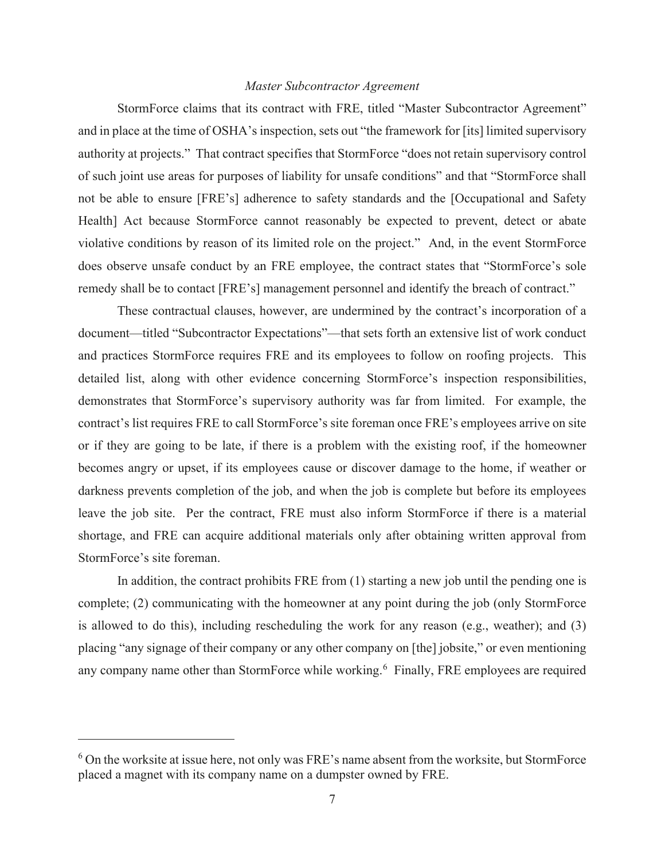## *Master Subcontractor Agreement*

StormForce claims that its contract with FRE, titled "Master Subcontractor Agreement" and in place at the time of OSHA's inspection, sets out "the framework for [its] limited supervisory authority at projects." That contract specifies that StormForce "does not retain supervisory control of such joint use areas for purposes of liability for unsafe conditions" and that "StormForce shall not be able to ensure [FRE's] adherence to safety standards and the [Occupational and Safety Health] Act because StormForce cannot reasonably be expected to prevent, detect or abate violative conditions by reason of its limited role on the project." And, in the event StormForce does observe unsafe conduct by an FRE employee, the contract states that "StormForce's sole remedy shall be to contact [FRE's] management personnel and identify the breach of contract."

These contractual clauses, however, are undermined by the contract's incorporation of a document—titled "Subcontractor Expectations"—that sets forth an extensive list of work conduct and practices StormForce requires FRE and its employees to follow on roofing projects. This detailed list, along with other evidence concerning StormForce's inspection responsibilities, demonstrates that StormForce's supervisory authority was far from limited. For example, the contract's list requires FRE to call StormForce's site foreman once FRE's employees arrive on site or if they are going to be late, if there is a problem with the existing roof, if the homeowner becomes angry or upset, if its employees cause or discover damage to the home, if weather or darkness prevents completion of the job, and when the job is complete but before its employees leave the job site. Per the contract, FRE must also inform StormForce if there is a material shortage, and FRE can acquire additional materials only after obtaining written approval from StormForce's site foreman.

In addition, the contract prohibits FRE from (1) starting a new job until the pending one is complete; (2) communicating with the homeowner at any point during the job (only StormForce is allowed to do this), including rescheduling the work for any reason (e.g., weather); and (3) placing "any signage of their company or any other company on [the] jobsite," or even mentioning any company name other than StormForce while working.<sup>6</sup> Finally, FRE employees are required

 $6$  On the worksite at issue here, not only was FRE's name absent from the worksite, but StormForce placed a magnet with its company name on a dumpster owned by FRE.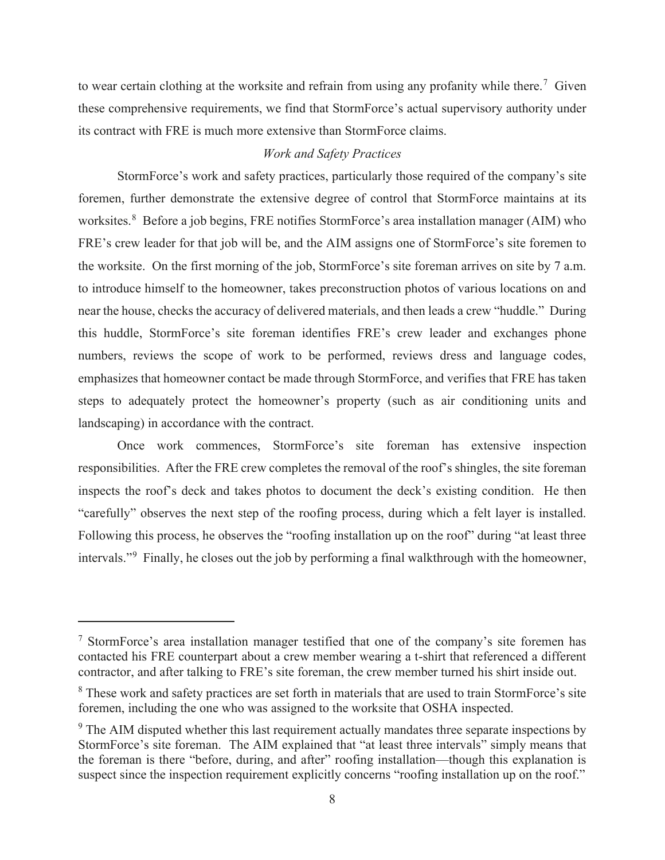to wear certain clothing at the worksite and refrain from using any profanity while there.<sup>7</sup> Given these comprehensive requirements, we find that StormForce's actual supervisory authority under its contract with FRE is much more extensive than StormForce claims.

## *Work and Safety Practices*

StormForce's work and safety practices, particularly those required of the company's site foremen, further demonstrate the extensive degree of control that StormForce maintains at its worksites.<sup>8</sup> Before a job begins, FRE notifies StormForce's area installation manager (AIM) who FRE's crew leader for that job will be, and the AIM assigns one of StormForce's site foremen to the worksite. On the first morning of the job, StormForce's site foreman arrives on site by 7 a.m. to introduce himself to the homeowner, takes preconstruction photos of various locations on and near the house, checks the accuracy of delivered materials, and then leads a crew "huddle." During this huddle, StormForce's site foreman identifies FRE's crew leader and exchanges phone numbers, reviews the scope of work to be performed, reviews dress and language codes, emphasizes that homeowner contact be made through StormForce, and verifies that FRE has taken steps to adequately protect the homeowner's property (such as air conditioning units and landscaping) in accordance with the contract.

Once work commences, StormForce's site foreman has extensive inspection responsibilities. After the FRE crew completes the removal of the roof's shingles, the site foreman inspects the roof's deck and takes photos to document the deck's existing condition. He then "carefully" observes the next step of the roofing process, during which a felt layer is installed. Following this process, he observes the "roofing installation up on the roof" during "at least three intervals."<sup>9</sup> Finally, he closes out the job by performing a final walkthrough with the homeowner,

 $<sup>7</sup>$  StormForce's area installation manager testified that one of the company's site foremen has</sup> contacted his FRE counterpart about a crew member wearing a t-shirt that referenced a different contractor, and after talking to FRE's site foreman, the crew member turned his shirt inside out.

<sup>&</sup>lt;sup>8</sup> These work and safety practices are set forth in materials that are used to train StormForce's site foremen, including the one who was assigned to the worksite that OSHA inspected.

 $9$  The AIM disputed whether this last requirement actually mandates three separate inspections by StormForce's site foreman. The AIM explained that "at least three intervals" simply means that the foreman is there "before, during, and after" roofing installation—though this explanation is suspect since the inspection requirement explicitly concerns "roofing installation up on the roof."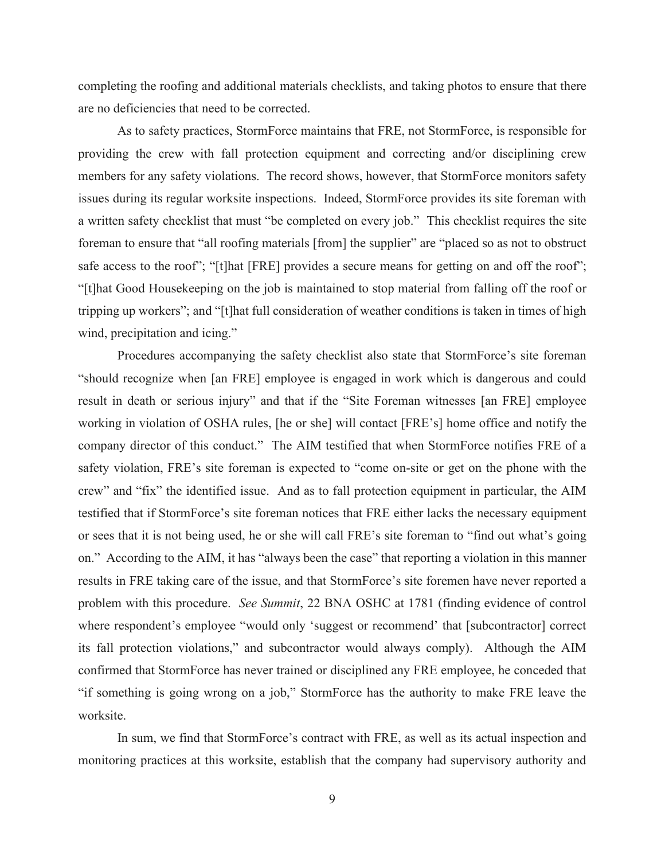completing the roofing and additional materials checklists, and taking photos to ensure that there are no deficiencies that need to be corrected.

As to safety practices, StormForce maintains that FRE, not StormForce, is responsible for providing the crew with fall protection equipment and correcting and/or disciplining crew members for any safety violations. The record shows, however, that StormForce monitors safety issues during its regular worksite inspections. Indeed, StormForce provides its site foreman with a written safety checklist that must "be completed on every job." This checklist requires the site foreman to ensure that "all roofing materials [from] the supplier" are "placed so as not to obstruct safe access to the roof"; "[t]hat [FRE] provides a secure means for getting on and off the roof"; "[t]hat Good Housekeeping on the job is maintained to stop material from falling off the roof or tripping up workers"; and "[t]hat full consideration of weather conditions is taken in times of high wind, precipitation and icing."

Procedures accompanying the safety checklist also state that StormForce's site foreman "should recognize when [an FRE] employee is engaged in work which is dangerous and could result in death or serious injury" and that if the "Site Foreman witnesses [an FRE] employee working in violation of OSHA rules, [he or she] will contact [FRE's] home office and notify the company director of this conduct." The AIM testified that when StormForce notifies FRE of a safety violation, FRE's site foreman is expected to "come on-site or get on the phone with the crew" and "fix" the identified issue. And as to fall protection equipment in particular, the AIM testified that if StormForce's site foreman notices that FRE either lacks the necessary equipment or sees that it is not being used, he or she will call FRE's site foreman to "find out what's going on." According to the AIM, it has "always been the case" that reporting a violation in this manner results in FRE taking care of the issue, and that StormForce's site foremen have never reported a problem with this procedure. *See Summit*, 22 BNA OSHC at 1781 (finding evidence of control where respondent's employee "would only 'suggest or recommend' that [subcontractor] correct its fall protection violations," and subcontractor would always comply). Although the AIM confirmed that StormForce has never trained or disciplined any FRE employee, he conceded that "if something is going wrong on a job," StormForce has the authority to make FRE leave the worksite.

In sum, we find that StormForce's contract with FRE, as well as its actual inspection and monitoring practices at this worksite, establish that the company had supervisory authority and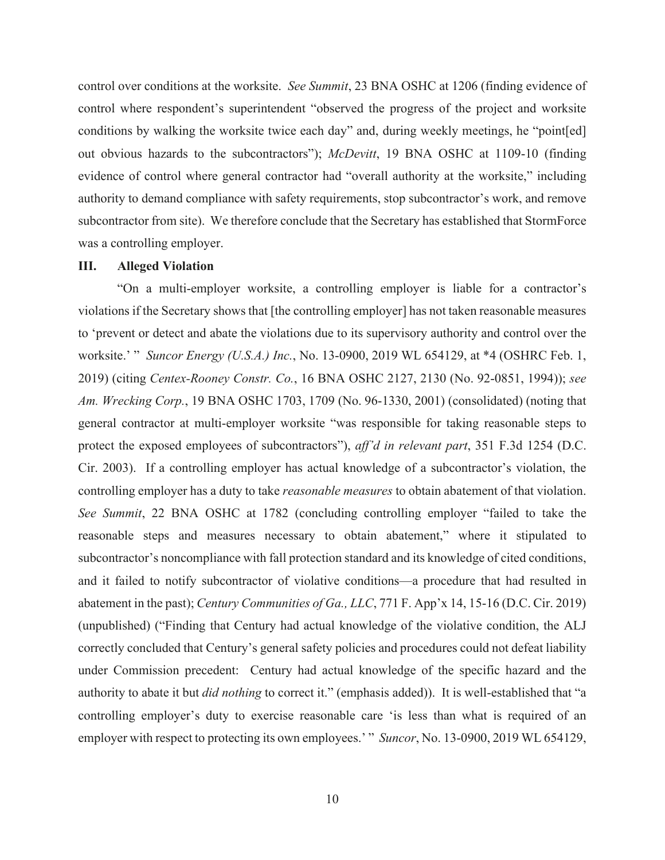control over conditions at the worksite. *See Summit*, 23 BNA OSHC at 1206 (finding evidence of control where respondent's superintendent "observed the progress of the project and worksite conditions by walking the worksite twice each day" and, during weekly meetings, he "point[ed] out obvious hazards to the subcontractors"); *McDevitt*, 19 BNA OSHC at 1109-10 (finding evidence of control where general contractor had "overall authority at the worksite," including authority to demand compliance with safety requirements, stop subcontractor's work, and remove subcontractor from site). We therefore conclude that the Secretary has established that StormForce was a controlling employer.

#### **III. Alleged Violation**

"On a multi-employer worksite, a controlling employer is liable for a contractor's violations if the Secretary shows that [the controlling employer] has not taken reasonable measures to 'prevent or detect and abate the violations due to its supervisory authority and control over the worksite.' " *Suncor Energy (U.S.A.) Inc.*, No. 13-0900, 2019 WL 654129, at \*4 (OSHRC Feb. 1, 2019) (citing *Centex-Rooney Constr. Co.*, 16 BNA OSHC 2127, 2130 (No. 92-0851, 1994)); *see Am. Wrecking Corp.*, 19 BNA OSHC 1703, 1709 (No. 96-1330, 2001) (consolidated) (noting that general contractor at multi-employer worksite "was responsible for taking reasonable steps to protect the exposed employees of subcontractors"), *aff'd in relevant part*, 351 F.3d 1254 (D.C. Cir. 2003). If a controlling employer has actual knowledge of a subcontractor's violation, the controlling employer has a duty to take *reasonable measures* to obtain abatement of that violation. *See Summit*, 22 BNA OSHC at 1782 (concluding controlling employer "failed to take the reasonable steps and measures necessary to obtain abatement," where it stipulated to subcontractor's noncompliance with fall protection standard and its knowledge of cited conditions, and it failed to notify subcontractor of violative conditions—a procedure that had resulted in abatement in the past); *Century Communities of Ga., LLC*, 771 F. App'x 14, 15-16 (D.C. Cir. 2019) (unpublished) ("Finding that Century had actual knowledge of the violative condition, the ALJ correctly concluded that Century's general safety policies and procedures could not defeat liability under Commission precedent: Century had actual knowledge of the specific hazard and the authority to abate it but *did nothing* to correct it." (emphasis added)). It is well-established that "a controlling employer's duty to exercise reasonable care 'is less than what is required of an employer with respect to protecting its own employees.' " *Suncor*, No. 13-0900, 2019 WL 654129,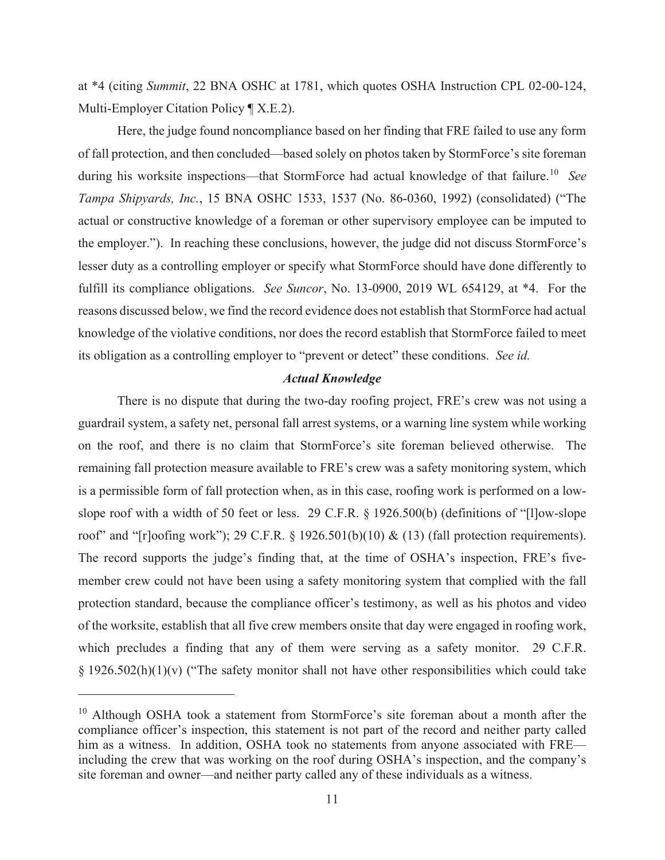at \*4 (citing *Summit*, 22 BNA OSHC at 1781, which quotes OSHA Instruction CPL 02-00-124, Multi-Employer Citation Policy ¶ X.E.2).

Here, the judge found noncompliance based on her finding that FRE failed to use any form of fall protection, and then concluded—based solely on photos taken by StormForce's site foreman during his worksite inspections—that StormForce had actual knowledge of that failure.<sup>10</sup> See *Tampa Shipyards, Inc.*, 15 BNA OSHC 1533, 1537 (No. 86-0360, 1992) (consolidated) ("The actual or constructive knowledge of a foreman or other supervisory employee can be imputed to the employer."). In reaching these conclusions, however, the judge did not discuss StormForce's lesser duty as a controlling employer or specify what StormForce should have done differently to fulfill its compliance obligations. *See Suncor*, No. 13-0900, 2019 WL 654129, at \*4. For the reasons discussed below, we find the record evidence does not establish that StormForce had actual knowledge of the violative conditions, nor does the record establish that StormForce failed to meet its obligation as a controlling employer to "prevent or detect" these conditions. *See id.*

# *Actual Knowledge*

There is no dispute that during the two-day roofing project, FRE's crew was not using a guardrail system, a safety net, personal fall arrest systems, or a warning line system while working on the roof, and there is no claim that StormForce's site foreman believed otherwise. The remaining fall protection measure available to FRE's crew was a safety monitoring system, which is a permissible form of fall protection when, as in this case, roofing work is performed on a lowslope roof with a width of 50 feet or less. 29 C.F.R. § 1926.500(b) (definitions of "[l]ow-slope roof" and "[r]oofing work"); 29 C.F.R. § 1926.501(b)(10) & (13) (fall protection requirements). The record supports the judge's finding that, at the time of OSHA's inspection, FRE's fivemember crew could not have been using a safety monitoring system that complied with the fall protection standard, because the compliance officer's testimony, as well as his photos and video of the worksite, establish that all five crew members onsite that day were engaged in roofing work, which precludes a finding that any of them were serving as a safety monitor. 29 C.F.R.  $\S 1926.502(h)(1)(v)$  ("The safety monitor shall not have other responsibilities which could take

<sup>&</sup>lt;sup>10</sup> Although OSHA took a statement from StormForce's site foreman about a month after the compliance officer's inspection, this statement is not part of the record and neither party called him as a witness. In addition, OSHA took no statements from anyone associated with FRE including the crew that was working on the roof during OSHA's inspection, and the company's site foreman and owner—and neither party called any of these individuals as a witness.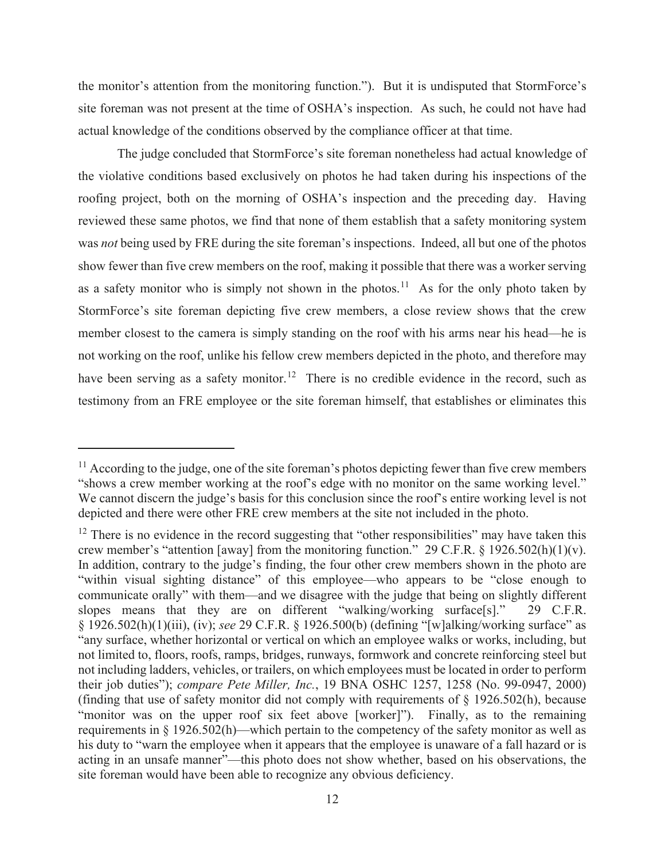the monitor's attention from the monitoring function."). But it is undisputed that StormForce's site foreman was not present at the time of OSHA's inspection. As such, he could not have had actual knowledge of the conditions observed by the compliance officer at that time.

The judge concluded that StormForce's site foreman nonetheless had actual knowledge of the violative conditions based exclusively on photos he had taken during his inspections of the roofing project, both on the morning of OSHA's inspection and the preceding day. Having reviewed these same photos, we find that none of them establish that a safety monitoring system was *not* being used by FRE during the site foreman's inspections. Indeed, all but one of the photos show fewer than five crew members on the roof, making it possible that there was a worker serving as a safety monitor who is simply not shown in the photos.<sup>11</sup> As for the only photo taken by StormForce's site foreman depicting five crew members, a close review shows that the crew member closest to the camera is simply standing on the roof with his arms near his head—he is not working on the roof, unlike his fellow crew members depicted in the photo, and therefore may have been serving as a safety monitor.<sup>12</sup> There is no credible evidence in the record, such as testimony from an FRE employee or the site foreman himself, that establishes or eliminates this

<sup>&</sup>lt;sup>11</sup> According to the judge, one of the site foreman's photos depicting fewer than five crew members "shows a crew member working at the roof's edge with no monitor on the same working level." We cannot discern the judge's basis for this conclusion since the roof's entire working level is not depicted and there were other FRE crew members at the site not included in the photo.

 $12$  There is no evidence in the record suggesting that "other responsibilities" may have taken this crew member's "attention [away] from the monitoring function." 29 C.F.R. § 1926.502(h)(1)(v). In addition, contrary to the judge's finding, the four other crew members shown in the photo are "within visual sighting distance" of this employee—who appears to be "close enough to communicate orally" with them—and we disagree with the judge that being on slightly different slopes means that they are on different "walking/working surface[s]." 29 C.F.R. § 1926.502(h)(1)(iii), (iv); *see* 29 C.F.R. § 1926.500(b) (defining "[w]alking/working surface" as "any surface, whether horizontal or vertical on which an employee walks or works, including, but not limited to, floors, roofs, ramps, bridges, runways, formwork and concrete reinforcing steel but not including ladders, vehicles, or trailers, on which employees must be located in order to perform their job duties"); *compare Pete Miller, Inc.*, 19 BNA OSHC 1257, 1258 (No. 99-0947, 2000) (finding that use of safety monitor did not comply with requirements of § 1926.502(h), because "monitor was on the upper roof six feet above [worker]"). Finally, as to the remaining requirements in § 1926.502(h)—which pertain to the competency of the safety monitor as well as his duty to "warn the employee when it appears that the employee is unaware of a fall hazard or is acting in an unsafe manner"—this photo does not show whether, based on his observations, the site foreman would have been able to recognize any obvious deficiency.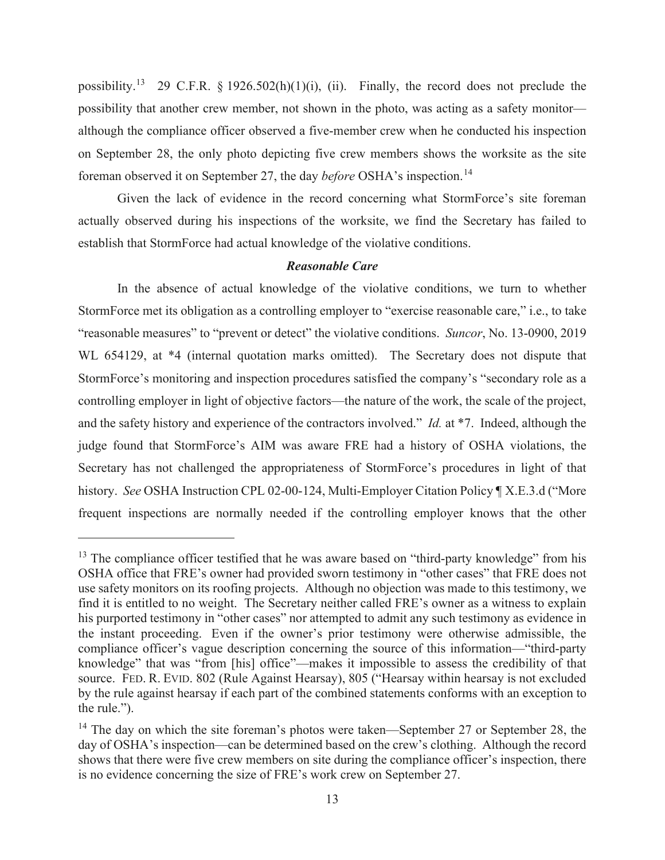possibility.<sup>13</sup> 29 C.F.R. § 1926.502(h)(1)(i), (ii). Finally, the record does not preclude the possibility that another crew member, not shown in the photo, was acting as a safety monitor although the compliance officer observed a five-member crew when he conducted his inspection on September 28, the only photo depicting five crew members shows the worksite as the site foreman observed it on September 27, the day *before* OSHA's inspection.<sup>14</sup>

Given the lack of evidence in the record concerning what StormForce's site foreman actually observed during his inspections of the worksite, we find the Secretary has failed to establish that StormForce had actual knowledge of the violative conditions.

## *Reasonable Care*

In the absence of actual knowledge of the violative conditions, we turn to whether StormForce met its obligation as a controlling employer to "exercise reasonable care," i.e., to take "reasonable measures" to "prevent or detect" the violative conditions. *Suncor*, No. 13-0900, 2019 WL 654129, at \*4 (internal quotation marks omitted). The Secretary does not dispute that StormForce's monitoring and inspection procedures satisfied the company's "secondary role as a controlling employer in light of objective factors—the nature of the work, the scale of the project, and the safety history and experience of the contractors involved." *Id.* at \*7. Indeed, although the judge found that StormForce's AIM was aware FRE had a history of OSHA violations, the Secretary has not challenged the appropriateness of StormForce's procedures in light of that history. *See* OSHA Instruction CPL 02-00-124, Multi-Employer Citation Policy ¶ X.E.3.d ("More frequent inspections are normally needed if the controlling employer knows that the other

 $13$  The compliance officer testified that he was aware based on "third-party knowledge" from his OSHA office that FRE's owner had provided sworn testimony in "other cases" that FRE does not use safety monitors on its roofing projects. Although no objection was made to this testimony, we find it is entitled to no weight. The Secretary neither called FRE's owner as a witness to explain his purported testimony in "other cases" nor attempted to admit any such testimony as evidence in the instant proceeding. Even if the owner's prior testimony were otherwise admissible, the compliance officer's vague description concerning the source of this information—"third-party knowledge" that was "from [his] office"—makes it impossible to assess the credibility of that source. FED. R. EVID. 802 (Rule Against Hearsay), 805 ("Hearsay within hearsay is not excluded by the rule against hearsay if each part of the combined statements conforms with an exception to the rule.").

 $14$  The day on which the site foreman's photos were taken—September 27 or September 28, the day of OSHA's inspection—can be determined based on the crew's clothing. Although the record shows that there were five crew members on site during the compliance officer's inspection, there is no evidence concerning the size of FRE's work crew on September 27.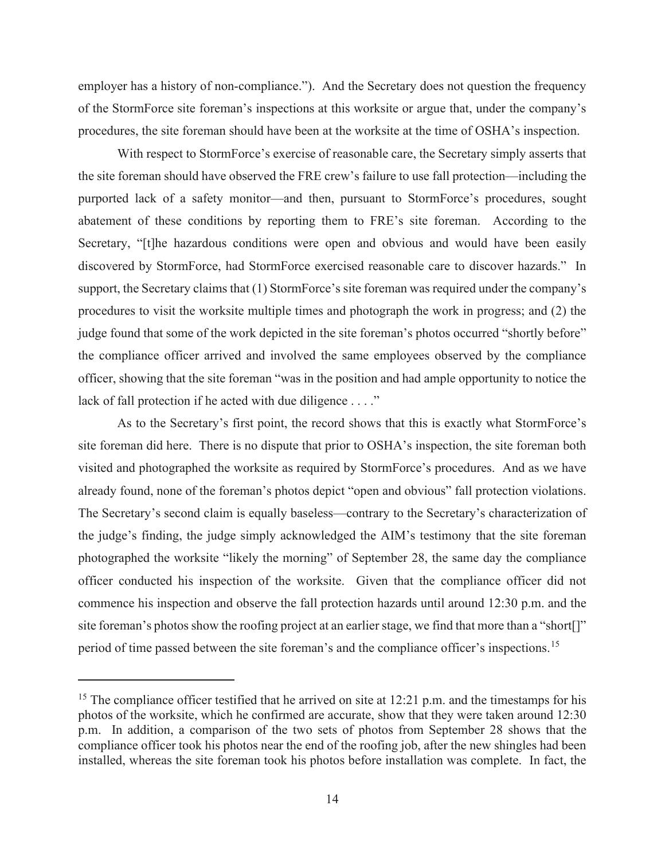employer has a history of non-compliance."). And the Secretary does not question the frequency of the StormForce site foreman's inspections at this worksite or argue that, under the company's procedures, the site foreman should have been at the worksite at the time of OSHA's inspection.

With respect to StormForce's exercise of reasonable care, the Secretary simply asserts that the site foreman should have observed the FRE crew's failure to use fall protection—including the purported lack of a safety monitor—and then, pursuant to StormForce's procedures, sought abatement of these conditions by reporting them to FRE's site foreman. According to the Secretary, "[t]he hazardous conditions were open and obvious and would have been easily discovered by StormForce, had StormForce exercised reasonable care to discover hazards." In support, the Secretary claims that (1) StormForce's site foreman was required under the company's procedures to visit the worksite multiple times and photograph the work in progress; and (2) the judge found that some of the work depicted in the site foreman's photos occurred "shortly before" the compliance officer arrived and involved the same employees observed by the compliance officer, showing that the site foreman "was in the position and had ample opportunity to notice the lack of fall protection if he acted with due diligence . . . ."

As to the Secretary's first point, the record shows that this is exactly what StormForce's site foreman did here. There is no dispute that prior to OSHA's inspection, the site foreman both visited and photographed the worksite as required by StormForce's procedures. And as we have already found, none of the foreman's photos depict "open and obvious" fall protection violations. The Secretary's second claim is equally baseless—contrary to the Secretary's characterization of the judge's finding, the judge simply acknowledged the AIM's testimony that the site foreman photographed the worksite "likely the morning" of September 28, the same day the compliance officer conducted his inspection of the worksite. Given that the compliance officer did not commence his inspection and observe the fall protection hazards until around 12:30 p.m. and the site foreman's photos show the roofing project at an earlier stage, we find that more than a "short[]" period of time passed between the site foreman's and the compliance officer's inspections.<sup>15</sup>

<sup>&</sup>lt;sup>15</sup> The compliance officer testified that he arrived on site at  $12:21$  p.m. and the timestamps for his photos of the worksite, which he confirmed are accurate, show that they were taken around 12:30 p.m. In addition, a comparison of the two sets of photos from September 28 shows that the compliance officer took his photos near the end of the roofing job, after the new shingles had been installed, whereas the site foreman took his photos before installation was complete. In fact, the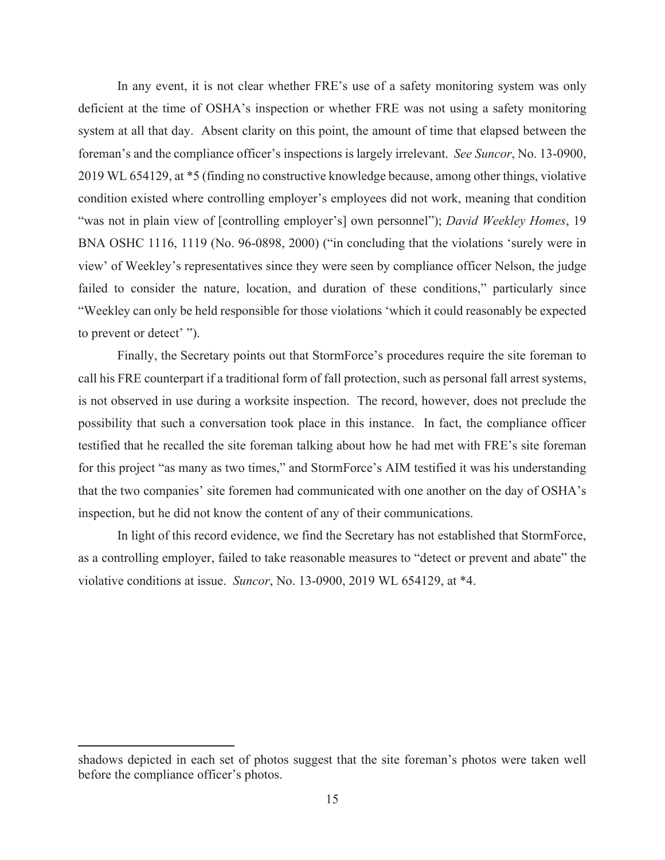In any event, it is not clear whether FRE's use of a safety monitoring system was only deficient at the time of OSHA's inspection or whether FRE was not using a safety monitoring system at all that day. Absent clarity on this point, the amount of time that elapsed between the foreman's and the compliance officer's inspections is largely irrelevant. *See Suncor*, No. 13-0900, 2019 WL 654129, at \*5 (finding no constructive knowledge because, among other things, violative condition existed where controlling employer's employees did not work, meaning that condition "was not in plain view of [controlling employer's] own personnel"); *David Weekley Homes*, 19 BNA OSHC 1116, 1119 (No. 96-0898, 2000) ("in concluding that the violations 'surely were in view' of Weekley's representatives since they were seen by compliance officer Nelson, the judge failed to consider the nature, location, and duration of these conditions," particularly since "Weekley can only be held responsible for those violations 'which it could reasonably be expected to prevent or detect' ").

Finally, the Secretary points out that StormForce's procedures require the site foreman to call his FRE counterpart if a traditional form of fall protection, such as personal fall arrest systems, is not observed in use during a worksite inspection. The record, however, does not preclude the possibility that such a conversation took place in this instance. In fact, the compliance officer testified that he recalled the site foreman talking about how he had met with FRE's site foreman for this project "as many as two times," and StormForce's AIM testified it was his understanding that the two companies' site foremen had communicated with one another on the day of OSHA's inspection, but he did not know the content of any of their communications.

In light of this record evidence, we find the Secretary has not established that StormForce, as a controlling employer, failed to take reasonable measures to "detect or prevent and abate" the violative conditions at issue. *Suncor*, No. 13-0900, 2019 WL 654129, at \*4.

shadows depicted in each set of photos suggest that the site foreman's photos were taken well before the compliance officer's photos.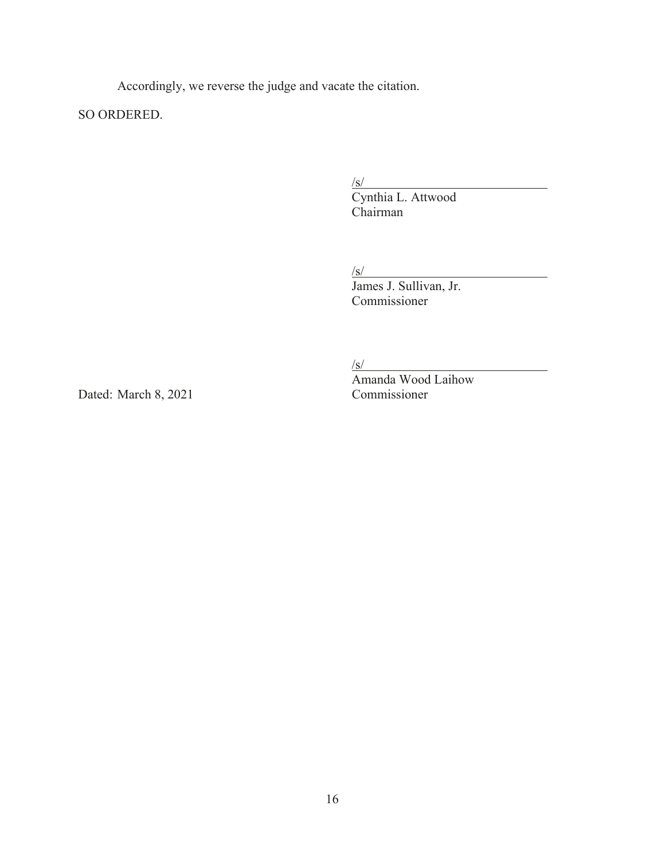Accordingly, we reverse the judge and vacate the citation.

SO ORDERED.

 $\sqrt{s/2}$ 

Cynthia L. Attwood Chairman

/s/

James J. Sullivan, Jr. Commissioner

 $/s/$ 

Amanda Wood Laihow Dated: March 8, 2021 Commissioner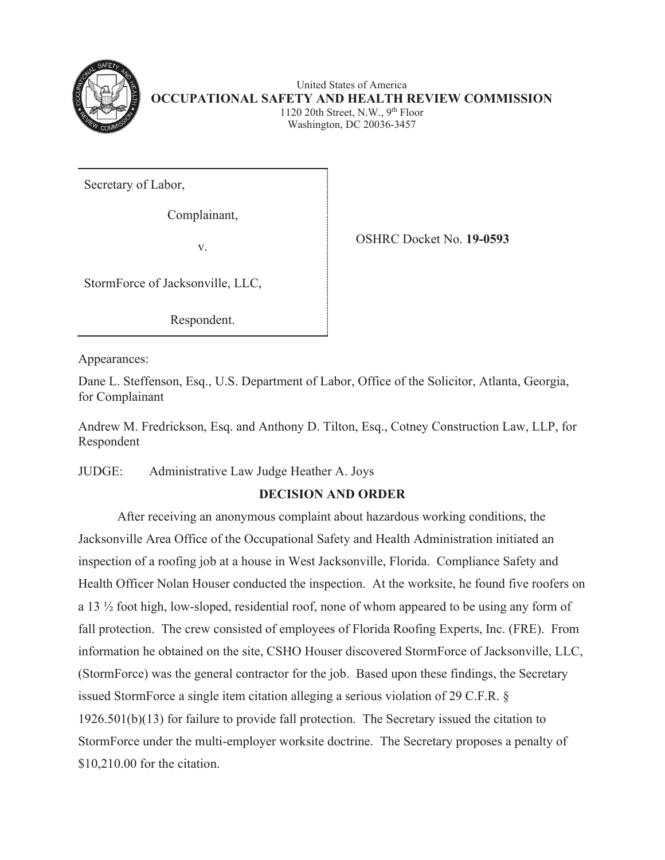

United States of America **OCCUPATIONAL SAFETY AND HEALTH REVIEW COMMISSION** 1120 20th Street, N.W.,  $9<sup>th</sup>$  Floor Washington, DC 20036-3457

Secretary of Labor,

Complainant,

v.

OSHRC Docket No. **19-0593**

StormForce of Jacksonville, LLC,

Respondent.

Appearances:

Dane L. Steffenson, Esq., U.S. Department of Labor, Office of the Solicitor, Atlanta, Georgia, for Complainant

Andrew M. Fredrickson, Esq. and Anthony D. Tilton, Esq., Cotney Construction Law, LLP, for Respondent

# JUDGE: Administrative Law Judge Heather A. Joys

# **DECISION AND ORDER**

After receiving an anonymous complaint about hazardous working conditions, the Jacksonville Area Office of the Occupational Safety and Health Administration initiated an inspection of a roofing job at a house in West Jacksonville, Florida. Compliance Safety and Health Officer Nolan Houser conducted the inspection. At the worksite, he found five roofers on a 13 ½ foot high, low-sloped, residential roof, none of whom appeared to be using any form of fall protection. The crew consisted of employees of Florida Roofing Experts, Inc. (FRE). From information he obtained on the site, CSHO Houser discovered StormForce of Jacksonville, LLC, (StormForce) was the general contractor for the job. Based upon these findings, the Secretary issued StormForce a single item citation alleging a serious violation of 29 C.F.R. § 1926.501(b)(13) for failure to provide fall protection. The Secretary issued the citation to StormForce under the multi-employer worksite doctrine. The Secretary proposes a penalty of \$10,210.00 for the citation.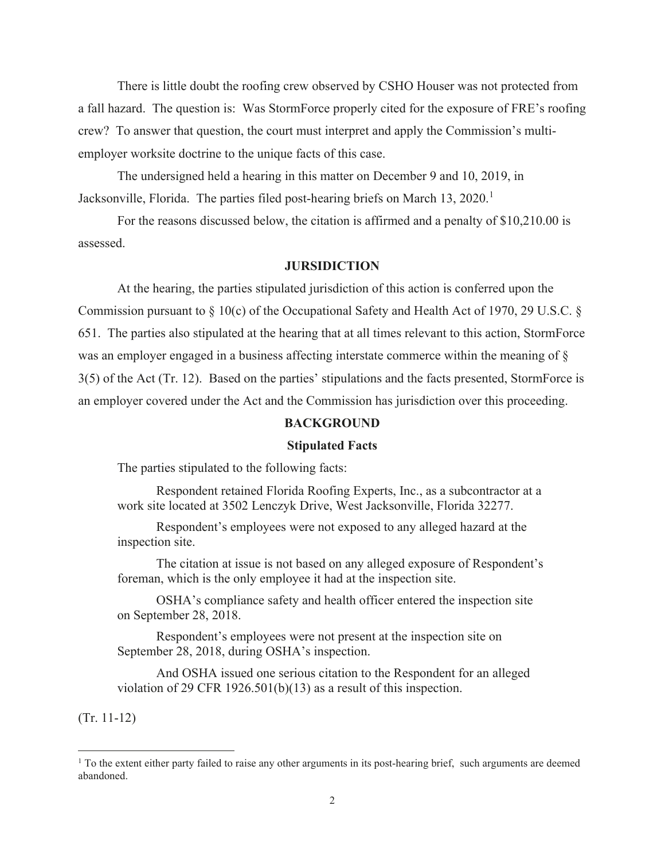There is little doubt the roofing crew observed by CSHO Houser was not protected from a fall hazard. The question is: Was StormForce properly cited for the exposure of FRE's roofing crew? To answer that question, the court must interpret and apply the Commission's multiemployer worksite doctrine to the unique facts of this case.

 The undersigned held a hearing in this matter on December 9 and 10, 2019, in Jacksonville, Florida. The parties filed post-hearing briefs on March  $13, 2020$ .<sup>1</sup>

For the reasons discussed below, the citation is affirmed and a penalty of \$10,210.00 is assessed.

#### **JURSIDICTION**

At the hearing, the parties stipulated jurisdiction of this action is conferred upon the Commission pursuant to § 10(c) of the Occupational Safety and Health Act of 1970, 29 U.S.C. § 651. The parties also stipulated at the hearing that at all times relevant to this action, StormForce was an employer engaged in a business affecting interstate commerce within the meaning of § 3(5) of the Act (Tr. 12). Based on the parties' stipulations and the facts presented, StormForce is an employer covered under the Act and the Commission has jurisdiction over this proceeding.

#### **BACKGROUND**

#### **Stipulated Facts**

The parties stipulated to the following facts:

Respondent retained Florida Roofing Experts, Inc., as a subcontractor at a work site located at 3502 Lenczyk Drive, West Jacksonville, Florida 32277.

 Respondent's employees were not exposed to any alleged hazard at the inspection site.

 The citation at issue is not based on any alleged exposure of Respondent's foreman, which is the only employee it had at the inspection site.

 OSHA's compliance safety and health officer entered the inspection site on September 28, 2018.

 Respondent's employees were not present at the inspection site on September 28, 2018, during OSHA's inspection.

 And OSHA issued one serious citation to the Respondent for an alleged violation of 29 CFR 1926.501(b)(13) as a result of this inspection.

(Tr. 11-12)

<sup>&</sup>lt;sup>1</sup> To the extent either party failed to raise any other arguments in its post-hearing brief, such arguments are deemed abandoned.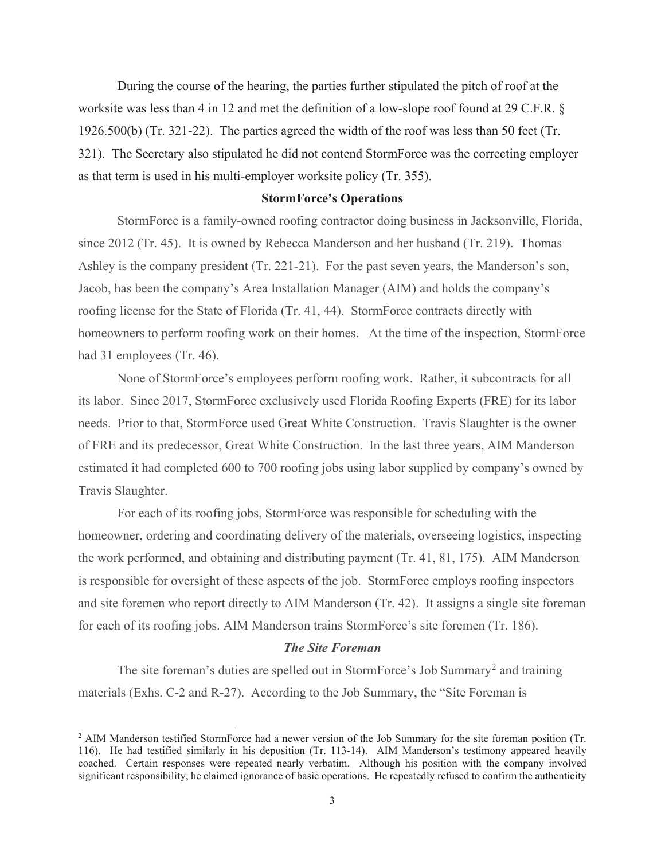During the course of the hearing, the parties further stipulated the pitch of roof at the worksite was less than 4 in 12 and met the definition of a low-slope roof found at 29 C.F.R. § 1926.500(b) (Tr. 321-22). The parties agreed the width of the roof was less than 50 feet (Tr. 321). The Secretary also stipulated he did not contend StormForce was the correcting employer as that term is used in his multi-employer worksite policy (Tr. 355).

#### **StormForce's Operations**

StormForce is a family-owned roofing contractor doing business in Jacksonville, Florida, since 2012 (Tr. 45). It is owned by Rebecca Manderson and her husband (Tr. 219). Thomas Ashley is the company president (Tr. 221-21). For the past seven years, the Manderson's son, Jacob, has been the company's Area Installation Manager (AIM) and holds the company's roofing license for the State of Florida (Tr. 41, 44). StormForce contracts directly with homeowners to perform roofing work on their homes. At the time of the inspection, StormForce had 31 employees (Tr. 46).

None of StormForce's employees perform roofing work. Rather, it subcontracts for all its labor. Since 2017, StormForce exclusively used Florida Roofing Experts (FRE) for its labor needs. Prior to that, StormForce used Great White Construction. Travis Slaughter is the owner of FRE and its predecessor, Great White Construction. In the last three years, AIM Manderson estimated it had completed 600 to 700 roofing jobs using labor supplied by company's owned by Travis Slaughter.

For each of its roofing jobs, StormForce was responsible for scheduling with the homeowner, ordering and coordinating delivery of the materials, overseeing logistics, inspecting the work performed, and obtaining and distributing payment (Tr. 41, 81, 175). AIM Manderson is responsible for oversight of these aspects of the job. StormForce employs roofing inspectors and site foremen who report directly to AIM Manderson (Tr. 42). It assigns a single site foreman for each of its roofing jobs. AIM Manderson trains StormForce's site foremen (Tr. 186).

#### *The Site Foreman*

The site foreman's duties are spelled out in StormForce's Job Summary<sup>2</sup> and training materials (Exhs. C-2 and R-27). According to the Job Summary, the "Site Foreman is

<sup>&</sup>lt;sup>2</sup> AIM Manderson testified StormForce had a newer version of the Job Summary for the site foreman position (Tr. 116). He had testified similarly in his deposition (Tr. 113-14). AIM Manderson's testimony appeared heavily coached. Certain responses were repeated nearly verbatim. Although his position with the company involved significant responsibility, he claimed ignorance of basic operations. He repeatedly refused to confirm the authenticity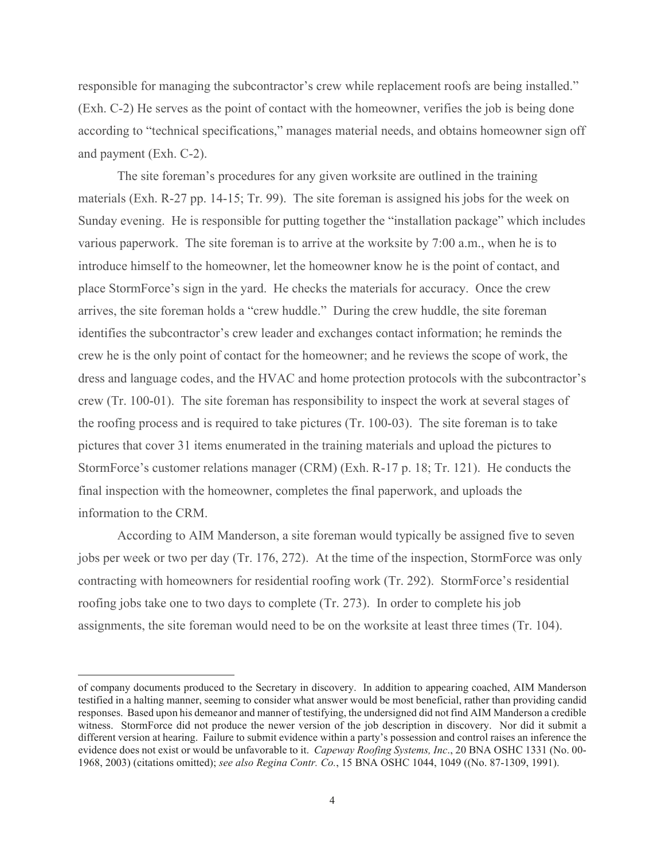responsible for managing the subcontractor's crew while replacement roofs are being installed." (Exh. C-2) He serves as the point of contact with the homeowner, verifies the job is being done according to "technical specifications," manages material needs, and obtains homeowner sign off and payment (Exh. C-2).

The site foreman's procedures for any given worksite are outlined in the training materials (Exh. R-27 pp. 14-15; Tr. 99). The site foreman is assigned his jobs for the week on Sunday evening. He is responsible for putting together the "installation package" which includes various paperwork. The site foreman is to arrive at the worksite by 7:00 a.m., when he is to introduce himself to the homeowner, let the homeowner know he is the point of contact, and place StormForce's sign in the yard. He checks the materials for accuracy. Once the crew arrives, the site foreman holds a "crew huddle." During the crew huddle, the site foreman identifies the subcontractor's crew leader and exchanges contact information; he reminds the crew he is the only point of contact for the homeowner; and he reviews the scope of work, the dress and language codes, and the HVAC and home protection protocols with the subcontractor's crew (Tr. 100-01). The site foreman has responsibility to inspect the work at several stages of the roofing process and is required to take pictures (Tr. 100-03). The site foreman is to take pictures that cover 31 items enumerated in the training materials and upload the pictures to StormForce's customer relations manager (CRM) (Exh. R-17 p. 18; Tr. 121). He conducts the final inspection with the homeowner, completes the final paperwork, and uploads the information to the CRM.

 According to AIM Manderson, a site foreman would typically be assigned five to seven jobs per week or two per day (Tr. 176, 272). At the time of the inspection, StormForce was only contracting with homeowners for residential roofing work (Tr. 292). StormForce's residential roofing jobs take one to two days to complete (Tr. 273). In order to complete his job assignments, the site foreman would need to be on the worksite at least three times (Tr. 104).

of company documents produced to the Secretary in discovery. In addition to appearing coached, AIM Manderson testified in a halting manner, seeming to consider what answer would be most beneficial, rather than providing candid responses. Based upon his demeanor and manner of testifying, the undersigned did not find AIM Manderson a credible witness. StormForce did not produce the newer version of the job description in discovery. Nor did it submit a different version at hearing. Failure to submit evidence within a party's possession and control raises an inference the evidence does not exist or would be unfavorable to it. *Capeway Roofing Systems, Inc*., 20 BNA OSHC 1331 (No. 00- 1968, 2003) (citations omitted); *see also Regina Contr. Co.*, 15 BNA OSHC 1044, 1049 ((No. 87-1309, 1991).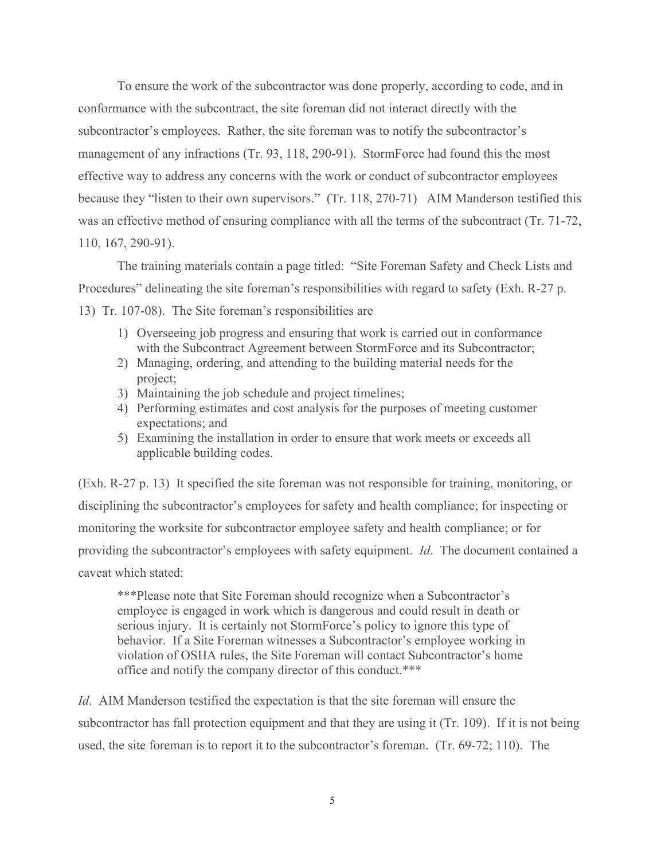To ensure the work of the subcontractor was done properly, according to code, and in conformance with the subcontract, the site foreman did not interact directly with the subcontractor's employees. Rather, the site foreman was to notify the subcontractor's management of any infractions (Tr. 93, 118, 290-91). StormForce had found this the most effective way to address any concerns with the work or conduct of subcontractor employees because they "listen to their own supervisors." (Tr. 118, 270-71) AIM Manderson testified this was an effective method of ensuring compliance with all the terms of the subcontract (Tr. 71-72, 110, 167, 290-91).

The training materials contain a page titled: "Site Foreman Safety and Check Lists and Procedures" delineating the site foreman's responsibilities with regard to safety (Exh. R-27 p. 13) Tr. 107-08). The Site foreman's responsibilities are

- 1) Overseeing job progress and ensuring that work is carried out in conformance
	- with the Subcontract Agreement between StormForce and its Subcontractor;
	- 2) Managing, ordering, and attending to the building material needs for the project;
	- 3) Maintaining the job schedule and project timelines;
	- 4) Performing estimates and cost analysis for the purposes of meeting customer expectations; and
	- 5) Examining the installation in order to ensure that work meets or exceeds all applicable building codes.

(Exh. R-27 p. 13) It specified the site foreman was not responsible for training, monitoring, or disciplining the subcontractor's employees for safety and health compliance; for inspecting or monitoring the worksite for subcontractor employee safety and health compliance; or for providing the subcontractor's employees with safety equipment. *Id*. The document contained a caveat which stated:

\*\*\*Please note that Site Foreman should recognize when a Subcontractor's employee is engaged in work which is dangerous and could result in death or serious injury. It is certainly not StormForce's policy to ignore this type of behavior. If a Site Foreman witnesses a Subcontractor's employee working in violation of OSHA rules, the Site Foreman will contact Subcontractor's home office and notify the company director of this conduct.\*\*\*

*Id*. AIM Manderson testified the expectation is that the site foreman will ensure the subcontractor has fall protection equipment and that they are using it (Tr. 109). If it is not being used, the site foreman is to report it to the subcontractor's foreman. (Tr. 69-72; 110). The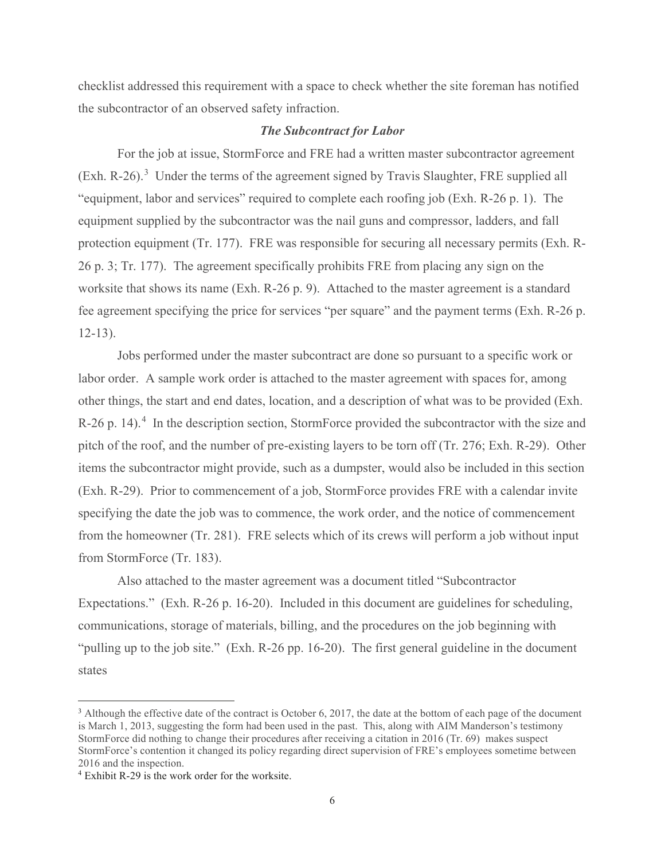checklist addressed this requirement with a space to check whether the site foreman has notified the subcontractor of an observed safety infraction.

## *The Subcontract for Labor*

For the job at issue, StormForce and FRE had a written master subcontractor agreement  $(Exh. R-26).$ <sup>3</sup> Under the terms of the agreement signed by Travis Slaughter, FRE supplied all "equipment, labor and services" required to complete each roofing job (Exh. R-26 p. 1). The equipment supplied by the subcontractor was the nail guns and compressor, ladders, and fall protection equipment (Tr. 177). FRE was responsible for securing all necessary permits (Exh. R-26 p. 3; Tr. 177). The agreement specifically prohibits FRE from placing any sign on the worksite that shows its name (Exh. R-26 p. 9). Attached to the master agreement is a standard fee agreement specifying the price for services "per square" and the payment terms (Exh. R-26 p. 12-13).

Jobs performed under the master subcontract are done so pursuant to a specific work or labor order. A sample work order is attached to the master agreement with spaces for, among other things, the start and end dates, location, and a description of what was to be provided (Exh. R-26 p. 14).<sup>4</sup> In the description section, StormForce provided the subcontractor with the size and pitch of the roof, and the number of pre-existing layers to be torn off (Tr. 276; Exh. R-29). Other items the subcontractor might provide, such as a dumpster, would also be included in this section (Exh. R-29). Prior to commencement of a job, StormForce provides FRE with a calendar invite specifying the date the job was to commence, the work order, and the notice of commencement from the homeowner (Tr. 281). FRE selects which of its crews will perform a job without input from StormForce (Tr. 183).

Also attached to the master agreement was a document titled "Subcontractor Expectations." (Exh. R-26 p. 16-20). Included in this document are guidelines for scheduling, communications, storage of materials, billing, and the procedures on the job beginning with "pulling up to the job site." (Exh. R-26 pp. 16-20). The first general guideline in the document states

 $3$  Although the effective date of the contract is October 6, 2017, the date at the bottom of each page of the document is March 1, 2013, suggesting the form had been used in the past. This, along with AIM Manderson's testimony StormForce did nothing to change their procedures after receiving a citation in 2016 (Tr. 69) makes suspect StormForce's contention it changed its policy regarding direct supervision of FRE's employees sometime between 2016 and the inspection.

<sup>4</sup> Exhibit R-29 is the work order for the worksite.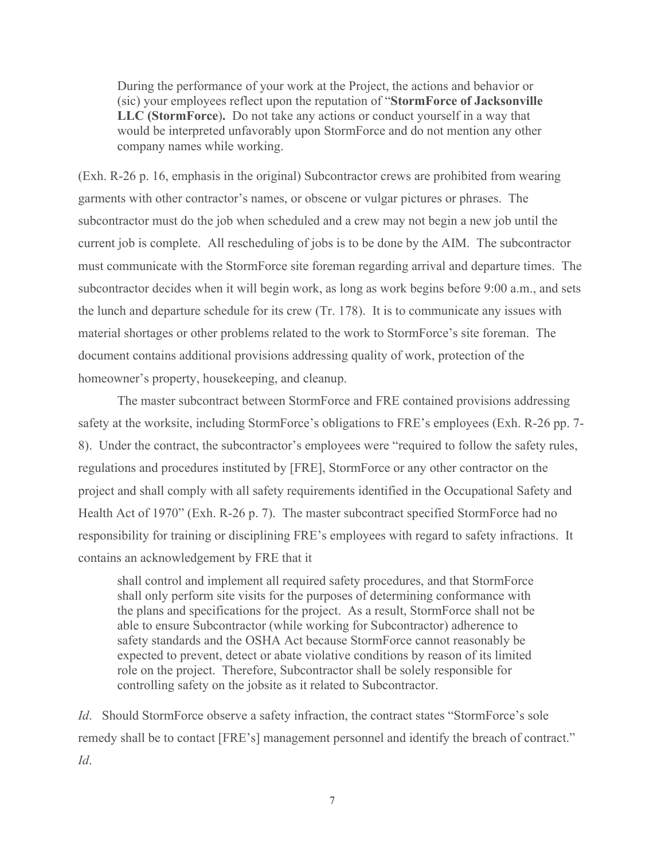During the performance of your work at the Project, the actions and behavior or (sic) your employees reflect upon the reputation of "**StormForce of Jacksonville LLC (StormForce**)**.** Do not take any actions or conduct yourself in a way that would be interpreted unfavorably upon StormForce and do not mention any other company names while working.

(Exh. R-26 p. 16, emphasis in the original) Subcontractor crews are prohibited from wearing garments with other contractor's names, or obscene or vulgar pictures or phrases. The subcontractor must do the job when scheduled and a crew may not begin a new job until the current job is complete. All rescheduling of jobs is to be done by the AIM. The subcontractor must communicate with the StormForce site foreman regarding arrival and departure times. The subcontractor decides when it will begin work, as long as work begins before 9:00 a.m., and sets the lunch and departure schedule for its crew (Tr. 178). It is to communicate any issues with material shortages or other problems related to the work to StormForce's site foreman. The document contains additional provisions addressing quality of work, protection of the homeowner's property, housekeeping, and cleanup.

The master subcontract between StormForce and FRE contained provisions addressing safety at the worksite, including StormForce's obligations to FRE's employees (Exh. R-26 pp. 7- 8). Under the contract, the subcontractor's employees were "required to follow the safety rules, regulations and procedures instituted by [FRE], StormForce or any other contractor on the project and shall comply with all safety requirements identified in the Occupational Safety and Health Act of 1970" (Exh. R-26 p. 7). The master subcontract specified StormForce had no responsibility for training or disciplining FRE's employees with regard to safety infractions. It contains an acknowledgement by FRE that it

shall control and implement all required safety procedures, and that StormForce shall only perform site visits for the purposes of determining conformance with the plans and specifications for the project. As a result, StormForce shall not be able to ensure Subcontractor (while working for Subcontractor) adherence to safety standards and the OSHA Act because StormForce cannot reasonably be expected to prevent, detect or abate violative conditions by reason of its limited role on the project. Therefore, Subcontractor shall be solely responsible for controlling safety on the jobsite as it related to Subcontractor.

*Id*. Should StormForce observe a safety infraction, the contract states "StormForce's sole remedy shall be to contact [FRE's] management personnel and identify the breach of contract." *Id*.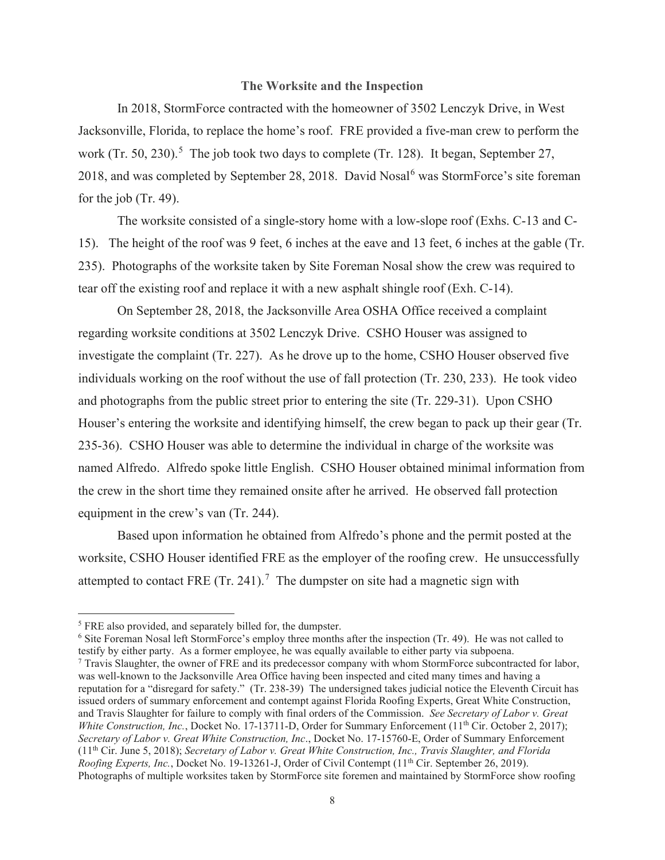#### **The Worksite and the Inspection**

In 2018, StormForce contracted with the homeowner of 3502 Lenczyk Drive, in West Jacksonville, Florida, to replace the home's roof. FRE provided a five-man crew to perform the work (Tr. 50, 230).<sup>5</sup> The job took two days to complete (Tr. 128). It began, September 27, 2018, and was completed by September 28, 2018. David Nosal<sup>6</sup> was StormForce's site foreman for the job (Tr. 49).

The worksite consisted of a single-story home with a low-slope roof (Exhs. C-13 and C-15). The height of the roof was 9 feet, 6 inches at the eave and 13 feet, 6 inches at the gable (Tr. 235). Photographs of the worksite taken by Site Foreman Nosal show the crew was required to tear off the existing roof and replace it with a new asphalt shingle roof (Exh. C-14).

On September 28, 2018, the Jacksonville Area OSHA Office received a complaint regarding worksite conditions at 3502 Lenczyk Drive. CSHO Houser was assigned to investigate the complaint (Tr. 227). As he drove up to the home, CSHO Houser observed five individuals working on the roof without the use of fall protection (Tr. 230, 233). He took video and photographs from the public street prior to entering the site (Tr. 229-31). Upon CSHO Houser's entering the worksite and identifying himself, the crew began to pack up their gear (Tr. 235-36). CSHO Houser was able to determine the individual in charge of the worksite was named Alfredo. Alfredo spoke little English. CSHO Houser obtained minimal information from the crew in the short time they remained onsite after he arrived. He observed fall protection equipment in the crew's van (Tr. 244).

Based upon information he obtained from Alfredo's phone and the permit posted at the worksite, CSHO Houser identified FRE as the employer of the roofing crew. He unsuccessfully attempted to contact FRE  $(Tr. 241).$ <sup>7</sup> The dumpster on site had a magnetic sign with

<sup>&</sup>lt;sup>5</sup> FRE also provided, and separately billed for, the dumpster.

<sup>&</sup>lt;sup>6</sup> Site Foreman Nosal left StormForce's employ three months after the inspection (Tr. 49). He was not called to testify by either party. As a former employee, he was equally available to either party via subpoena.

<sup>7</sup> Travis Slaughter, the owner of FRE and its predecessor company with whom StormForce subcontracted for labor, was well-known to the Jacksonville Area Office having been inspected and cited many times and having a reputation for a "disregard for safety." (Tr. 238-39) The undersigned takes judicial notice the Eleventh Circuit has issued orders of summary enforcement and contempt against Florida Roofing Experts, Great White Construction, and Travis Slaughter for failure to comply with final orders of the Commission. *See Secretary of Labor v. Great White Construction, Inc., Docket No.* 17-13711-D, Order for Summary Enforcement (11<sup>th</sup> Cir. October 2, 2017); *Secretary of Labor v. Great White Construction, Inc*., Docket No. 17-15760-E, Order of Summary Enforcement (11th Cir. June 5, 2018); *Secretary of Labor v. Great White Construction, Inc., Travis Slaughter, and Florida Roofing Experts, Inc.*, Docket No. 19-13261-J, Order of Civil Contempt (11<sup>th</sup> Cir. September 26, 2019). Photographs of multiple worksites taken by StormForce site foremen and maintained by StormForce show roofing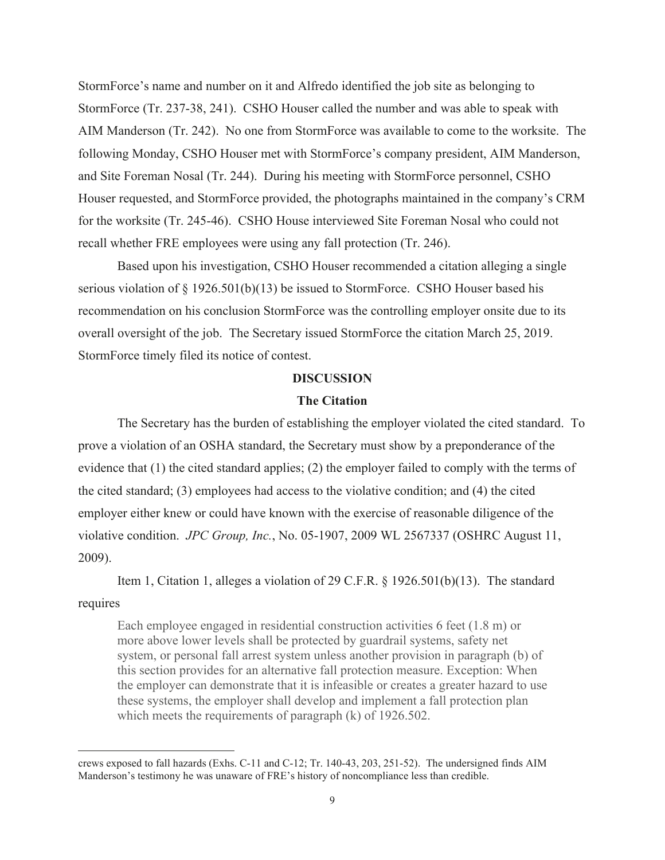StormForce's name and number on it and Alfredo identified the job site as belonging to StormForce (Tr. 237-38, 241). CSHO Houser called the number and was able to speak with AIM Manderson (Tr. 242). No one from StormForce was available to come to the worksite. The following Monday, CSHO Houser met with StormForce's company president, AIM Manderson, and Site Foreman Nosal (Tr. 244). During his meeting with StormForce personnel, CSHO Houser requested, and StormForce provided, the photographs maintained in the company's CRM for the worksite (Tr. 245-46). CSHO House interviewed Site Foreman Nosal who could not recall whether FRE employees were using any fall protection (Tr. 246).

Based upon his investigation, CSHO Houser recommended a citation alleging a single serious violation of  $\S 1926.501(b)(13)$  be issued to StormForce. CSHO Houser based his recommendation on his conclusion StormForce was the controlling employer onsite due to its overall oversight of the job. The Secretary issued StormForce the citation March 25, 2019. StormForce timely filed its notice of contest.

## **DISCUSSION**

# **The Citation**

The Secretary has the burden of establishing the employer violated the cited standard. To prove a violation of an OSHA standard, the Secretary must show by a preponderance of the evidence that (1) the cited standard applies; (2) the employer failed to comply with the terms of the cited standard; (3) employees had access to the violative condition; and (4) the cited employer either knew or could have known with the exercise of reasonable diligence of the violative condition. *JPC Group, Inc.*, No. 05-1907, 2009 WL 2567337 (OSHRC August 11, 2009).

 Item 1, Citation 1, alleges a violation of 29 C.F.R. § 1926.501(b)(13). The standard requires

Each employee engaged in residential construction activities 6 feet (1.8 m) or more above lower levels shall be protected by guardrail systems, safety net system, or personal fall arrest system unless another provision in paragraph (b) of this section provides for an alternative fall protection measure. Exception: When the employer can demonstrate that it is infeasible or creates a greater hazard to use these systems, the employer shall develop and implement a fall protection plan which meets the requirements of paragraph (k) of 1926.502.

crews exposed to fall hazards (Exhs. C-11 and C-12; Tr. 140-43, 203, 251-52). The undersigned finds AIM Manderson's testimony he was unaware of FRE's history of noncompliance less than credible.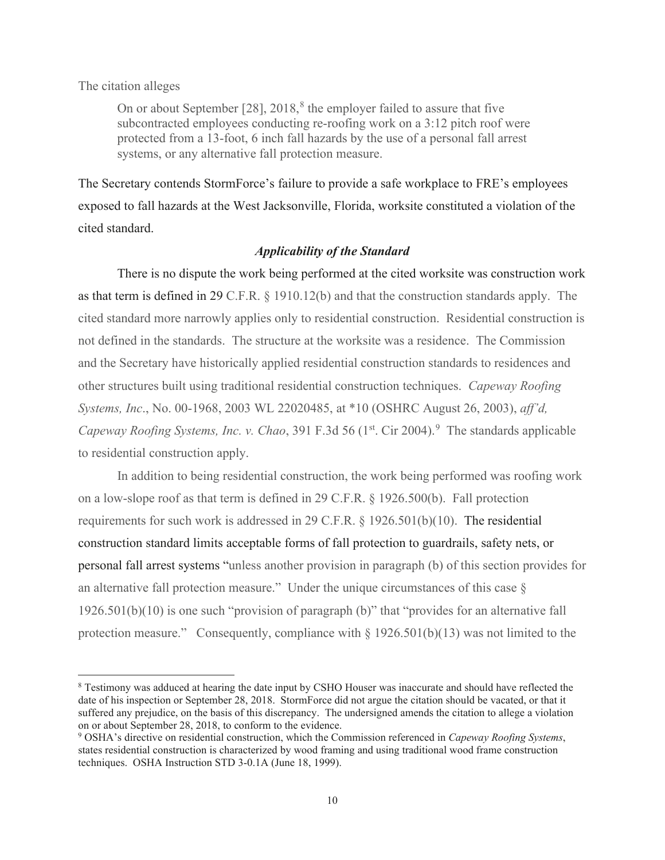#### The citation alleges

On or about September  $[28]$ ,  $2018$ ,<sup>8</sup> the employer failed to assure that five subcontracted employees conducting re-roofing work on a 3:12 pitch roof were protected from a 13-foot, 6 inch fall hazards by the use of a personal fall arrest systems, or any alternative fall protection measure.

The Secretary contends StormForce's failure to provide a safe workplace to FRE's employees exposed to fall hazards at the West Jacksonville, Florida, worksite constituted a violation of the cited standard.

# *Applicability of the Standard*

There is no dispute the work being performed at the cited worksite was construction work as that term is defined in 29 C.F.R. § 1910.12(b) and that the construction standards apply. The cited standard more narrowly applies only to residential construction. Residential construction is not defined in the standards. The structure at the worksite was a residence. The Commission and the Secretary have historically applied residential construction standards to residences and other structures built using traditional residential construction techniques. *Capeway Roofing Systems, Inc*., No. 00-1968, 2003 WL 22020485, at \*10 (OSHRC August 26, 2003), *aff'd,*  Capeway Roofing Systems, Inc. v. Chao, 391 F.3d 56 (1<sup>st</sup>. Cir 2004).<sup>9</sup> The standards applicable to residential construction apply.

 In addition to being residential construction, the work being performed was roofing work on a low-slope roof as that term is defined in 29 C.F.R. § 1926.500(b). Fall protection requirements for such work is addressed in 29 C.F.R. § 1926.501(b)(10). The residential construction standard limits acceptable forms of fall protection to guardrails, safety nets, or personal fall arrest systems "unless another provision in paragraph (b) of this section provides for an alternative fall protection measure." Under the unique circumstances of this case  $\S$ 1926.501(b)(10) is one such "provision of paragraph (b)" that "provides for an alternative fall protection measure." Consequently, compliance with  $\S 1926.501(b)(13)$  was not limited to the

<sup>&</sup>lt;sup>8</sup> Testimony was adduced at hearing the date input by CSHO Houser was inaccurate and should have reflected the date of his inspection or September 28, 2018. StormForce did not argue the citation should be vacated, or that it suffered any prejudice, on the basis of this discrepancy. The undersigned amends the citation to allege a violation on or about September 28, 2018, to conform to the evidence.

<sup>9</sup> OSHA's directive on residential construction, which the Commission referenced in *Capeway Roofing Systems*, states residential construction is characterized by wood framing and using traditional wood frame construction techniques. OSHA Instruction STD 3-0.1A (June 18, 1999).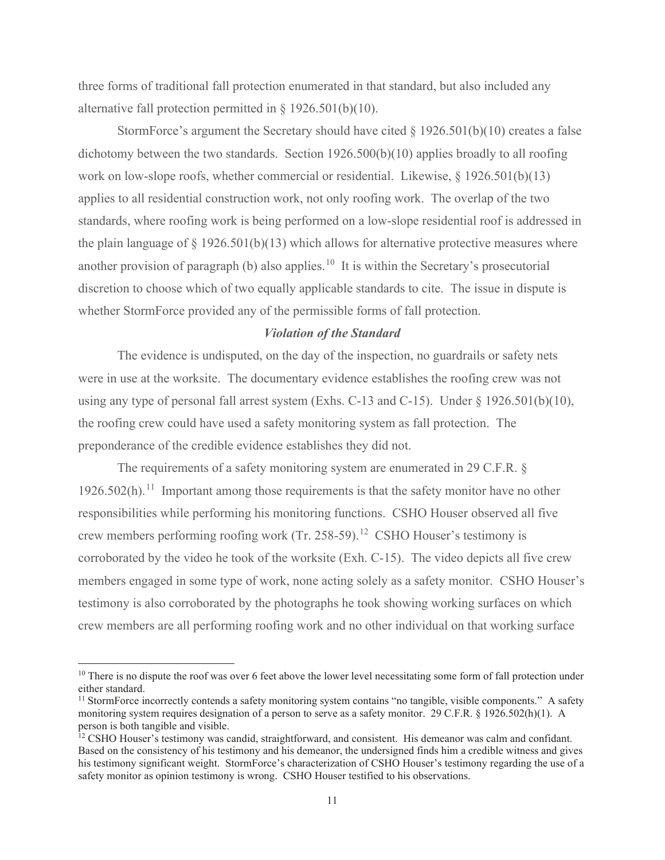three forms of traditional fall protection enumerated in that standard, but also included any alternative fall protection permitted in § 1926.501(b)(10).

StormForce's argument the Secretary should have cited  $\S 1926.501(b)(10)$  creates a false dichotomy between the two standards. Section 1926.500(b)(10) applies broadly to all roofing work on low-slope roofs, whether commercial or residential. Likewise,  $\S$  1926.501(b)(13) applies to all residential construction work, not only roofing work. The overlap of the two standards, where roofing work is being performed on a low-slope residential roof is addressed in the plain language of  $\S 1926.501(b)(13)$  which allows for alternative protective measures where another provision of paragraph (b) also applies.<sup>10</sup> It is within the Secretary's prosecutorial discretion to choose which of two equally applicable standards to cite. The issue in dispute is whether StormForce provided any of the permissible forms of fall protection.

#### *Violation of the Standard*

 The evidence is undisputed, on the day of the inspection, no guardrails or safety nets were in use at the worksite. The documentary evidence establishes the roofing crew was not using any type of personal fall arrest system (Exhs. C-13 and C-15). Under § 1926.501(b)(10), the roofing crew could have used a safety monitoring system as fall protection. The preponderance of the credible evidence establishes they did not.

 The requirements of a safety monitoring system are enumerated in 29 C.F.R. §  $1926.502(h).$ <sup>11</sup> Important among those requirements is that the safety monitor have no other responsibilities while performing his monitoring functions. CSHO Houser observed all five crew members performing roofing work (Tr. 258-59).<sup>12</sup> CSHO Houser's testimony is corroborated by the video he took of the worksite (Exh. C-15). The video depicts all five crew members engaged in some type of work, none acting solely as a safety monitor. CSHO Houser's testimony is also corroborated by the photographs he took showing working surfaces on which crew members are all performing roofing work and no other individual on that working surface

<sup>&</sup>lt;sup>10</sup> There is no dispute the roof was over 6 feet above the lower level necessitating some form of fall protection under either standard.

 $11$  StormForce incorrectly contends a safety monitoring system contains "no tangible, visible components." A safety monitoring system requires designation of a person to serve as a safety monitor. 29 C.F.R. § 1926.502(h)(1). A person is both tangible and visible.

<sup>&</sup>lt;sup>12</sup> CSHO Houser's testimony was candid, straightforward, and consistent. His demeanor was calm and confidant. Based on the consistency of his testimony and his demeanor, the undersigned finds him a credible witness and gives his testimony significant weight. StormForce's characterization of CSHO Houser's testimony regarding the use of a safety monitor as opinion testimony is wrong. CSHO Houser testified to his observations.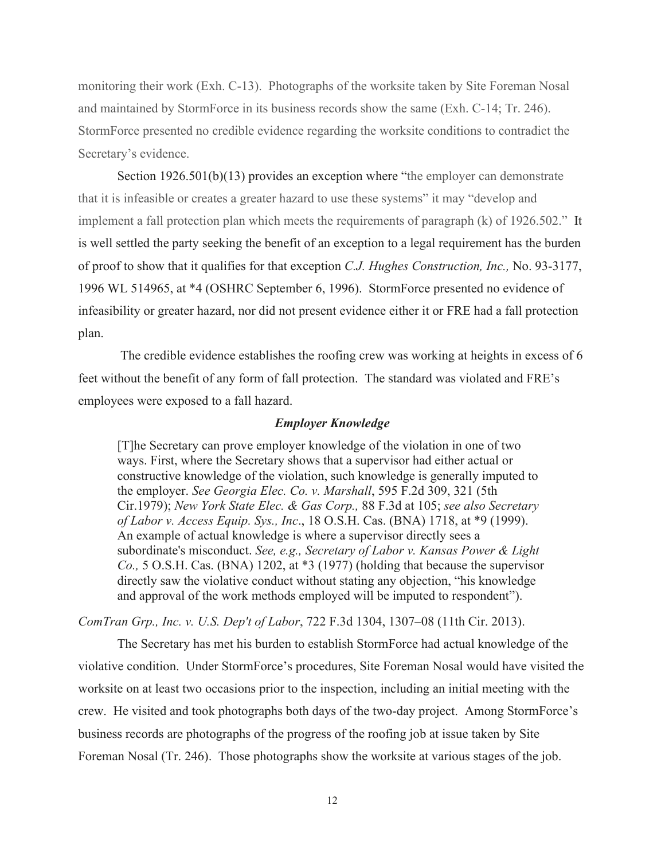monitoring their work (Exh. C-13). Photographs of the worksite taken by Site Foreman Nosal and maintained by StormForce in its business records show the same (Exh. C-14; Tr. 246). StormForce presented no credible evidence regarding the worksite conditions to contradict the Secretary's evidence.

 Section 1926.501(b)(13) provides an exception where "the employer can demonstrate that it is infeasible or creates a greater hazard to use these systems" it may "develop and implement a fall protection plan which meets the requirements of paragraph (k) of 1926.502." It is well settled the party seeking the benefit of an exception to a legal requirement has the burden of proof to show that it qualifies for that exception *C.J. Hughes Construction, Inc.,* No. 93-3177, 1996 WL 514965, at \*4 (OSHRC September 6, 1996). StormForce presented no evidence of infeasibility or greater hazard, nor did not present evidence either it or FRE had a fall protection plan.

 The credible evidence establishes the roofing crew was working at heights in excess of 6 feet without the benefit of any form of fall protection. The standard was violated and FRE's employees were exposed to a fall hazard.

#### *Employer Knowledge*

[T]he Secretary can prove employer knowledge of the violation in one of two ways. First, where the Secretary shows that a supervisor had either actual or constructive knowledge of the violation, such knowledge is generally imputed to the employer. *See Georgia Elec. Co. v. Marshall*, 595 F.2d 309, 321 (5th Cir.1979); *New York State Elec. & Gas Corp.,* 88 F.3d at 105; *see also Secretary of Labor v. Access Equip. Sys., Inc*., 18 O.S.H. Cas. (BNA) 1718, at \*9 (1999). An example of actual knowledge is where a supervisor directly sees a subordinate's misconduct. *See, e.g., Secretary of Labor v. Kansas Power & Light Co.,* 5 O.S.H. Cas. (BNA) 1202, at \*3 (1977) (holding that because the supervisor directly saw the violative conduct without stating any objection, "his knowledge and approval of the work methods employed will be imputed to respondent").

*ComTran Grp., Inc. v. U.S. Dep't of Labor*, 722 F.3d 1304, 1307–08 (11th Cir. 2013).

 The Secretary has met his burden to establish StormForce had actual knowledge of the violative condition. Under StormForce's procedures, Site Foreman Nosal would have visited the worksite on at least two occasions prior to the inspection, including an initial meeting with the crew. He visited and took photographs both days of the two-day project. Among StormForce's business records are photographs of the progress of the roofing job at issue taken by Site Foreman Nosal (Tr. 246). Those photographs show the worksite at various stages of the job.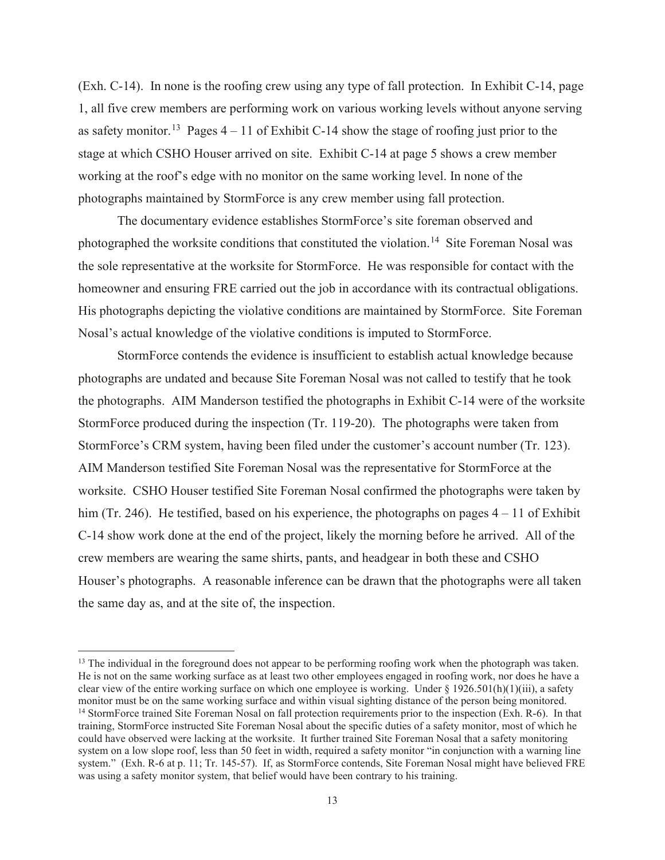(Exh. C-14). In none is the roofing crew using any type of fall protection. In Exhibit C-14, page 1, all five crew members are performing work on various working levels without anyone serving as safety monitor.<sup>13</sup> Pages  $4 - 11$  of Exhibit C-14 show the stage of roofing just prior to the stage at which CSHO Houser arrived on site. Exhibit C-14 at page 5 shows a crew member working at the roof's edge with no monitor on the same working level. In none of the photographs maintained by StormForce is any crew member using fall protection.

 The documentary evidence establishes StormForce's site foreman observed and photographed the worksite conditions that constituted the violation.<sup>14</sup> Site Foreman Nosal was the sole representative at the worksite for StormForce. He was responsible for contact with the homeowner and ensuring FRE carried out the job in accordance with its contractual obligations. His photographs depicting the violative conditions are maintained by StormForce. Site Foreman Nosal's actual knowledge of the violative conditions is imputed to StormForce.

 StormForce contends the evidence is insufficient to establish actual knowledge because photographs are undated and because Site Foreman Nosal was not called to testify that he took the photographs. AIM Manderson testified the photographs in Exhibit C-14 were of the worksite StormForce produced during the inspection (Tr. 119-20). The photographs were taken from StormForce's CRM system, having been filed under the customer's account number (Tr. 123). AIM Manderson testified Site Foreman Nosal was the representative for StormForce at the worksite. CSHO Houser testified Site Foreman Nosal confirmed the photographs were taken by him (Tr. 246). He testified, based on his experience, the photographs on pages  $4 - 11$  of Exhibit C-14 show work done at the end of the project, likely the morning before he arrived. All of the crew members are wearing the same shirts, pants, and headgear in both these and CSHO Houser's photographs. A reasonable inference can be drawn that the photographs were all taken the same day as, and at the site of, the inspection.

<sup>&</sup>lt;sup>13</sup> The individual in the foreground does not appear to be performing roofing work when the photograph was taken. He is not on the same working surface as at least two other employees engaged in roofing work, nor does he have a clear view of the entire working surface on which one employee is working. Under  $\S$  1926.501(h)(1)(iii), a safety monitor must be on the same working surface and within visual sighting distance of the person being monitored. <sup>14</sup> StormForce trained Site Foreman Nosal on fall protection requirements prior to the inspection (Exh. R-6). In that training, StormForce instructed Site Foreman Nosal about the specific duties of a safety monitor, most of which he could have observed were lacking at the worksite. It further trained Site Foreman Nosal that a safety monitoring system on a low slope roof, less than 50 feet in width, required a safety monitor "in conjunction with a warning line system." (Exh. R-6 at p. 11; Tr. 145-57). If, as StormForce contends, Site Foreman Nosal might have believed FRE was using a safety monitor system, that belief would have been contrary to his training.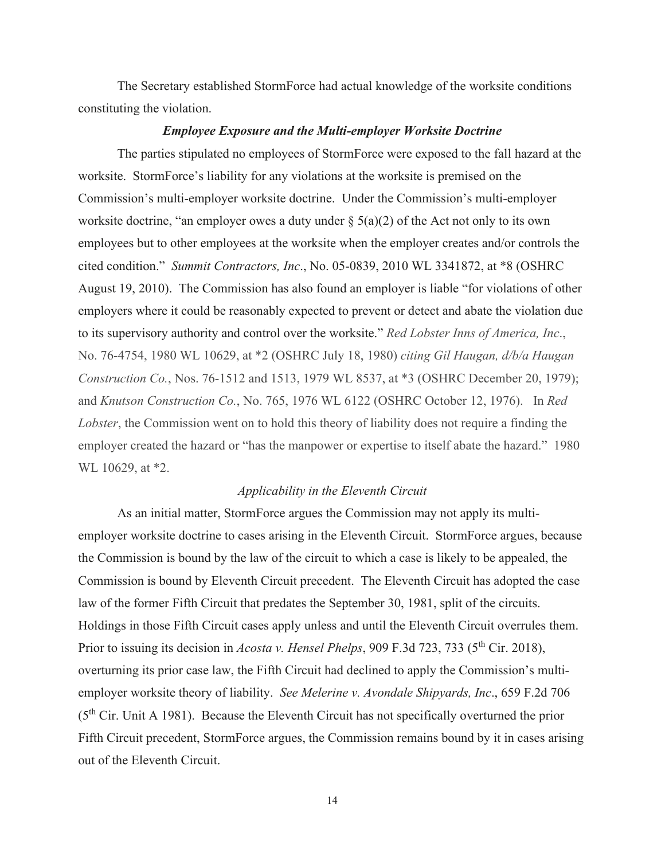The Secretary established StormForce had actual knowledge of the worksite conditions constituting the violation.

## *Employee Exposure and the Multi-employer Worksite Doctrine*

The parties stipulated no employees of StormForce were exposed to the fall hazard at the worksite. StormForce's liability for any violations at the worksite is premised on the Commission's multi-employer worksite doctrine. Under the Commission's multi-employer worksite doctrine, "an employer owes a duty under  $\S$  5(a)(2) of the Act not only to its own employees but to other employees at the worksite when the employer creates and/or controls the cited condition." *Summit Contractors, Inc*., No. 05-0839, 2010 WL 3341872, at \*8 (OSHRC August 19, 2010). The Commission has also found an employer is liable "for violations of other employers where it could be reasonably expected to prevent or detect and abate the violation due to its supervisory authority and control over the worksite." *Red Lobster Inns of America, Inc*., No. 76-4754, 1980 WL 10629, at \*2 (OSHRC July 18, 1980) *citing Gil Haugan, d/b/a Haugan Construction Co.*, Nos. 76-1512 and 1513, 1979 WL 8537, at \*3 (OSHRC December 20, 1979); and *Knutson Construction Co.*, No. 765, 1976 WL 6122 (OSHRC October 12, 1976). In *Red Lobster*, the Commission went on to hold this theory of liability does not require a finding the employer created the hazard or "has the manpower or expertise to itself abate the hazard." 1980 WL 10629, at \*2.

## *Applicability in the Eleventh Circuit*

 As an initial matter, StormForce argues the Commission may not apply its multiemployer worksite doctrine to cases arising in the Eleventh Circuit. StormForce argues, because the Commission is bound by the law of the circuit to which a case is likely to be appealed, the Commission is bound by Eleventh Circuit precedent. The Eleventh Circuit has adopted the case law of the former Fifth Circuit that predates the September 30, 1981, split of the circuits. Holdings in those Fifth Circuit cases apply unless and until the Eleventh Circuit overrules them. Prior to issuing its decision in *Acosta v. Hensel Phelps*, 909 F.3d 723, 733 (5<sup>th</sup> Cir. 2018), overturning its prior case law, the Fifth Circuit had declined to apply the Commission's multiemployer worksite theory of liability. *See Melerine v. Avondale Shipyards, Inc*., 659 F.2d 706  $(5<sup>th</sup> Cir. Unit A 1981)$ . Because the Eleventh Circuit has not specifically overturned the prior Fifth Circuit precedent, StormForce argues, the Commission remains bound by it in cases arising out of the Eleventh Circuit.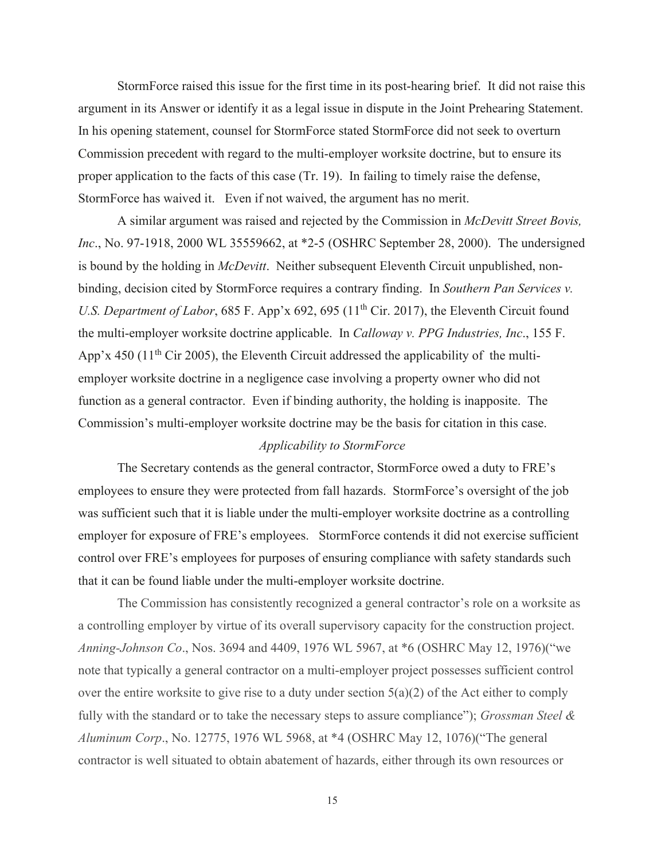StormForce raised this issue for the first time in its post-hearing brief. It did not raise this argument in its Answer or identify it as a legal issue in dispute in the Joint Prehearing Statement. In his opening statement, counsel for StormForce stated StormForce did not seek to overturn Commission precedent with regard to the multi-employer worksite doctrine, but to ensure its proper application to the facts of this case (Tr. 19). In failing to timely raise the defense, StormForce has waived it. Even if not waived, the argument has no merit.

 A similar argument was raised and rejected by the Commission in *McDevitt Street Bovis, Inc*., No. 97-1918, 2000 WL 35559662, at \*2-5 (OSHRC September 28, 2000). The undersigned is bound by the holding in *McDevitt*. Neither subsequent Eleventh Circuit unpublished, nonbinding, decision cited by StormForce requires a contrary finding. In *Southern Pan Services v. U.S. Department of Labor*, 685 F. App'x 692, 695 (11<sup>th</sup> Cir. 2017), the Eleventh Circuit found the multi-employer worksite doctrine applicable. In *Calloway v. PPG Industries, Inc*., 155 F. App'x 450 ( $11<sup>th</sup>$  Cir 2005), the Eleventh Circuit addressed the applicability of the multiemployer worksite doctrine in a negligence case involving a property owner who did not function as a general contractor. Even if binding authority, the holding is inapposite. The Commission's multi-employer worksite doctrine may be the basis for citation in this case.

## *Applicability to StormForce*

The Secretary contends as the general contractor, StormForce owed a duty to FRE's employees to ensure they were protected from fall hazards. StormForce's oversight of the job was sufficient such that it is liable under the multi-employer worksite doctrine as a controlling employer for exposure of FRE's employees. StormForce contends it did not exercise sufficient control over FRE's employees for purposes of ensuring compliance with safety standards such that it can be found liable under the multi-employer worksite doctrine.

The Commission has consistently recognized a general contractor's role on a worksite as a controlling employer by virtue of its overall supervisory capacity for the construction project. *Anning-Johnson Co*., Nos. 3694 and 4409, 1976 WL 5967, at \*6 (OSHRC May 12, 1976)("we note that typically a general contractor on a multi-employer project possesses sufficient control over the entire worksite to give rise to a duty under section  $5(a)(2)$  of the Act either to comply fully with the standard or to take the necessary steps to assure compliance"); *Grossman Steel & Aluminum Corp*., No. 12775, 1976 WL 5968, at \*4 (OSHRC May 12, 1076)("The general contractor is well situated to obtain abatement of hazards, either through its own resources or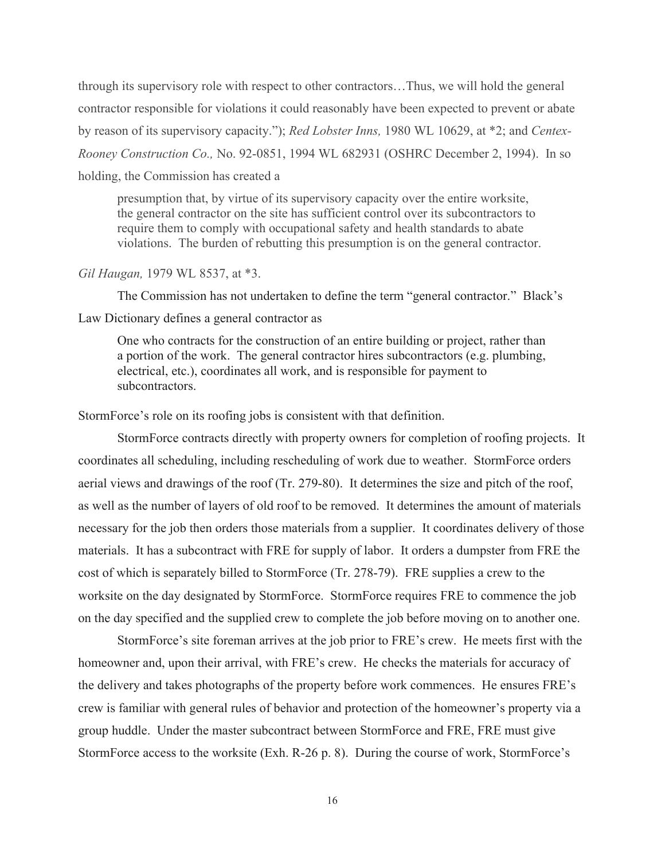through its supervisory role with respect to other contractors…Thus, we will hold the general contractor responsible for violations it could reasonably have been expected to prevent or abate by reason of its supervisory capacity."); *Red Lobster Inns,* 1980 WL 10629, at \*2; and *Centex-Rooney Construction Co.,* No. 92-0851, 1994 WL 682931 (OSHRC December 2, 1994). In so holding, the Commission has created a

presumption that, by virtue of its supervisory capacity over the entire worksite, the general contractor on the site has sufficient control over its subcontractors to require them to comply with occupational safety and health standards to abate violations. The burden of rebutting this presumption is on the general contractor.

#### *Gil Haugan,* 1979 WL 8537, at \*3.

The Commission has not undertaken to define the term "general contractor." Black's Law Dictionary defines a general contractor as

One who contracts for the construction of an entire building or project, rather than a portion of the work. The general contractor hires subcontractors (e.g. plumbing, electrical, etc.), coordinates all work, and is responsible for payment to subcontractors.

StormForce's role on its roofing jobs is consistent with that definition.

 StormForce contracts directly with property owners for completion of roofing projects. It coordinates all scheduling, including rescheduling of work due to weather. StormForce orders aerial views and drawings of the roof (Tr. 279-80). It determines the size and pitch of the roof, as well as the number of layers of old roof to be removed. It determines the amount of materials necessary for the job then orders those materials from a supplier. It coordinates delivery of those materials. It has a subcontract with FRE for supply of labor. It orders a dumpster from FRE the cost of which is separately billed to StormForce (Tr. 278-79). FRE supplies a crew to the worksite on the day designated by StormForce. StormForce requires FRE to commence the job on the day specified and the supplied crew to complete the job before moving on to another one.

StormForce's site foreman arrives at the job prior to FRE's crew. He meets first with the homeowner and, upon their arrival, with FRE's crew. He checks the materials for accuracy of the delivery and takes photographs of the property before work commences. He ensures FRE's crew is familiar with general rules of behavior and protection of the homeowner's property via a group huddle. Under the master subcontract between StormForce and FRE, FRE must give StormForce access to the worksite (Exh. R-26 p. 8). During the course of work, StormForce's

16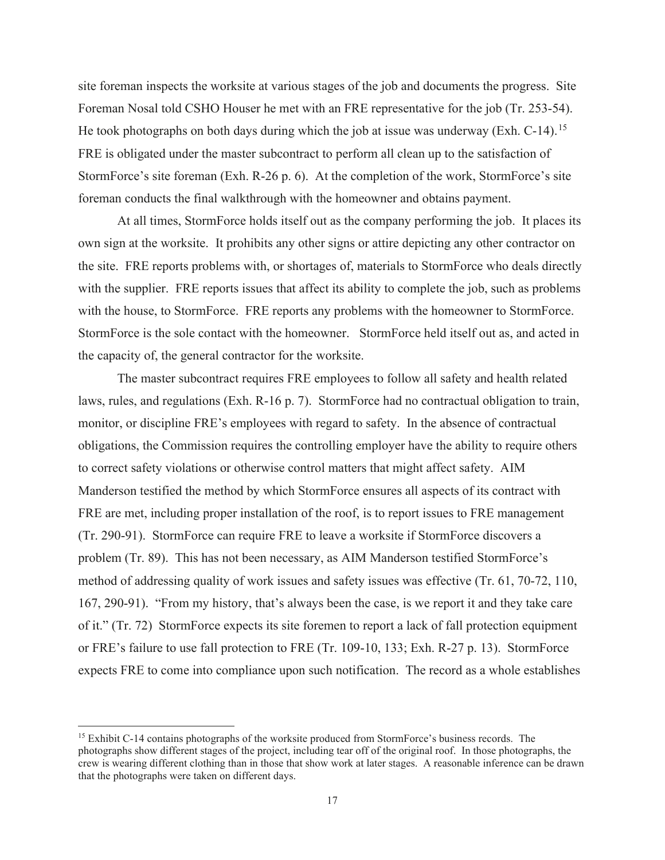site foreman inspects the worksite at various stages of the job and documents the progress. Site Foreman Nosal told CSHO Houser he met with an FRE representative for the job (Tr. 253-54). He took photographs on both days during which the job at issue was underway (Exh. C-14).<sup>15</sup> FRE is obligated under the master subcontract to perform all clean up to the satisfaction of StormForce's site foreman (Exh. R-26 p. 6). At the completion of the work, StormForce's site foreman conducts the final walkthrough with the homeowner and obtains payment.

At all times, StormForce holds itself out as the company performing the job. It places its own sign at the worksite. It prohibits any other signs or attire depicting any other contractor on the site. FRE reports problems with, or shortages of, materials to StormForce who deals directly with the supplier. FRE reports issues that affect its ability to complete the job, such as problems with the house, to StormForce. FRE reports any problems with the homeowner to StormForce. StormForce is the sole contact with the homeowner. StormForce held itself out as, and acted in the capacity of, the general contractor for the worksite.

The master subcontract requires FRE employees to follow all safety and health related laws, rules, and regulations (Exh. R-16 p. 7). StormForce had no contractual obligation to train, monitor, or discipline FRE's employees with regard to safety. In the absence of contractual obligations, the Commission requires the controlling employer have the ability to require others to correct safety violations or otherwise control matters that might affect safety. AIM Manderson testified the method by which StormForce ensures all aspects of its contract with FRE are met, including proper installation of the roof, is to report issues to FRE management (Tr. 290-91). StormForce can require FRE to leave a worksite if StormForce discovers a problem (Tr. 89). This has not been necessary, as AIM Manderson testified StormForce's method of addressing quality of work issues and safety issues was effective (Tr. 61, 70-72, 110, 167, 290-91). "From my history, that's always been the case, is we report it and they take care of it." (Tr. 72) StormForce expects its site foremen to report a lack of fall protection equipment or FRE's failure to use fall protection to FRE (Tr. 109-10, 133; Exh. R-27 p. 13). StormForce expects FRE to come into compliance upon such notification. The record as a whole establishes

<sup>&</sup>lt;sup>15</sup> Exhibit C-14 contains photographs of the worksite produced from StormForce's business records. The photographs show different stages of the project, including tear off of the original roof. In those photographs, the crew is wearing different clothing than in those that show work at later stages. A reasonable inference can be drawn that the photographs were taken on different days.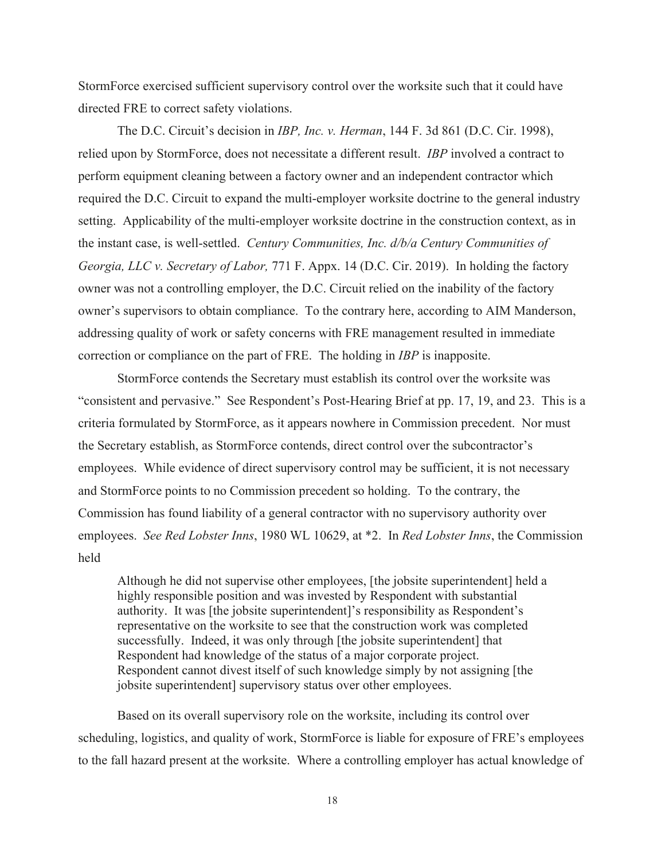StormForce exercised sufficient supervisory control over the worksite such that it could have directed FRE to correct safety violations.

The D.C. Circuit's decision in *IBP, Inc. v. Herman*, 144 F. 3d 861 (D.C. Cir. 1998), relied upon by StormForce, does not necessitate a different result. *IBP* involved a contract to perform equipment cleaning between a factory owner and an independent contractor which required the D.C. Circuit to expand the multi-employer worksite doctrine to the general industry setting. Applicability of the multi-employer worksite doctrine in the construction context, as in the instant case, is well-settled. *Century Communities, Inc. d/b/a Century Communities of Georgia, LLC v. Secretary of Labor,* 771 F. Appx. 14 (D.C. Cir. 2019). In holding the factory owner was not a controlling employer, the D.C. Circuit relied on the inability of the factory owner's supervisors to obtain compliance. To the contrary here, according to AIM Manderson, addressing quality of work or safety concerns with FRE management resulted in immediate correction or compliance on the part of FRE. The holding in *IBP* is inapposite.

StormForce contends the Secretary must establish its control over the worksite was "consistent and pervasive." See Respondent's Post-Hearing Brief at pp. 17, 19, and 23. This is a criteria formulated by StormForce, as it appears nowhere in Commission precedent. Nor must the Secretary establish, as StormForce contends, direct control over the subcontractor's employees. While evidence of direct supervisory control may be sufficient, it is not necessary and StormForce points to no Commission precedent so holding. To the contrary, the Commission has found liability of a general contractor with no supervisory authority over employees. *See Red Lobster Inns*, 1980 WL 10629, at \*2. In *Red Lobster Inns*, the Commission held

Although he did not supervise other employees, [the jobsite superintendent] held a highly responsible position and was invested by Respondent with substantial authority. It was [the jobsite superintendent]'s responsibility as Respondent's representative on the worksite to see that the construction work was completed successfully. Indeed, it was only through [the jobsite superintendent] that Respondent had knowledge of the status of a major corporate project. Respondent cannot divest itself of such knowledge simply by not assigning [the jobsite superintendent] supervisory status over other employees.

 Based on its overall supervisory role on the worksite, including its control over scheduling, logistics, and quality of work, StormForce is liable for exposure of FRE's employees to the fall hazard present at the worksite. Where a controlling employer has actual knowledge of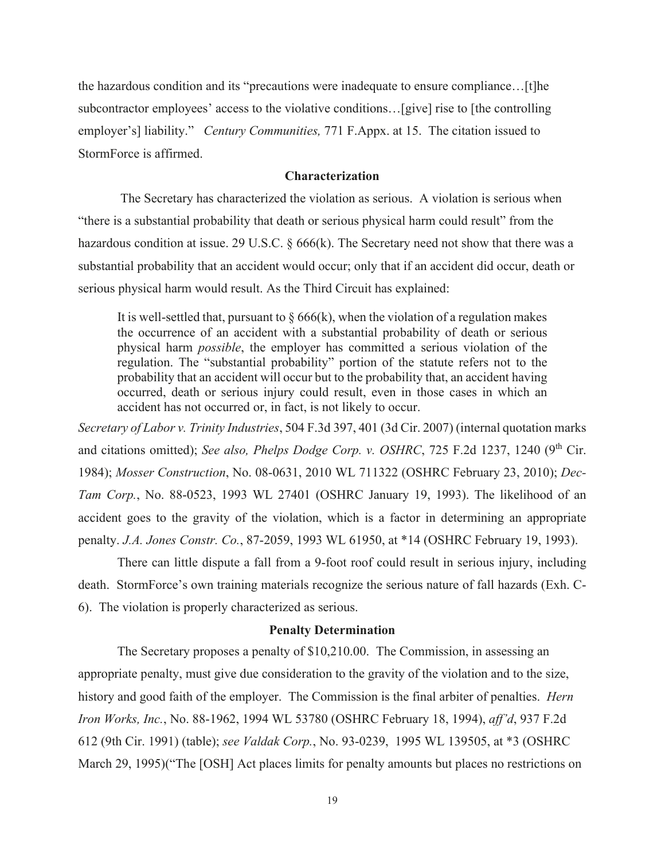the hazardous condition and its "precautions were inadequate to ensure compliance…[t]he subcontractor employees' access to the violative conditions…[give] rise to [the controlling employer's] liability." *Century Communities,* 771 F.Appx. at 15. The citation issued to StormForce is affirmed.

## **Characterization**

 The Secretary has characterized the violation as serious. A violation is serious when "there is a substantial probability that death or serious physical harm could result" from the hazardous condition at issue. 29 U.S.C. § 666(k). The Secretary need not show that there was a substantial probability that an accident would occur; only that if an accident did occur, death or serious physical harm would result. As the Third Circuit has explained:

It is well-settled that, pursuant to  $\S 666(k)$ , when the violation of a regulation makes the occurrence of an accident with a substantial probability of death or serious physical harm *possible*, the employer has committed a serious violation of the regulation. The "substantial probability" portion of the statute refers not to the probability that an accident will occur but to the probability that, an accident having occurred, death or serious injury could result, even in those cases in which an accident has not occurred or, in fact, is not likely to occur.

*Secretary of Labor v. Trinity Industries*, 504 F.3d 397, 401 (3d Cir. 2007) (internal quotation marks and citations omitted); *See also, Phelps Dodge Corp. v. OSHRC*, 725 F.2d 1237, 1240 (9<sup>th</sup> Cir. 1984); *Mosser Construction*, No. 08-0631, 2010 WL 711322 (OSHRC February 23, 2010); *Dec-Tam Corp.*, No. 88-0523, 1993 WL 27401 (OSHRC January 19, 1993). The likelihood of an accident goes to the gravity of the violation, which is a factor in determining an appropriate penalty. *J.A. Jones Constr. Co.*, 87-2059, 1993 WL 61950, at \*14 (OSHRC February 19, 1993).

 There can little dispute a fall from a 9-foot roof could result in serious injury, including death. StormForce's own training materials recognize the serious nature of fall hazards (Exh. C-6). The violation is properly characterized as serious.

#### **Penalty Determination**

The Secretary proposes a penalty of \$10,210.00. The Commission, in assessing an appropriate penalty, must give due consideration to the gravity of the violation and to the size, history and good faith of the employer. The Commission is the final arbiter of penalties. *Hern Iron Works, Inc.*, No. 88-1962, 1994 WL 53780 (OSHRC February 18, 1994), *aff'd*, 937 F.2d 612 (9th Cir. 1991) (table); *see Valdak Corp.*, No. 93-0239, 1995 WL 139505, at \*3 (OSHRC March 29, 1995)("The [OSH] Act places limits for penalty amounts but places no restrictions on